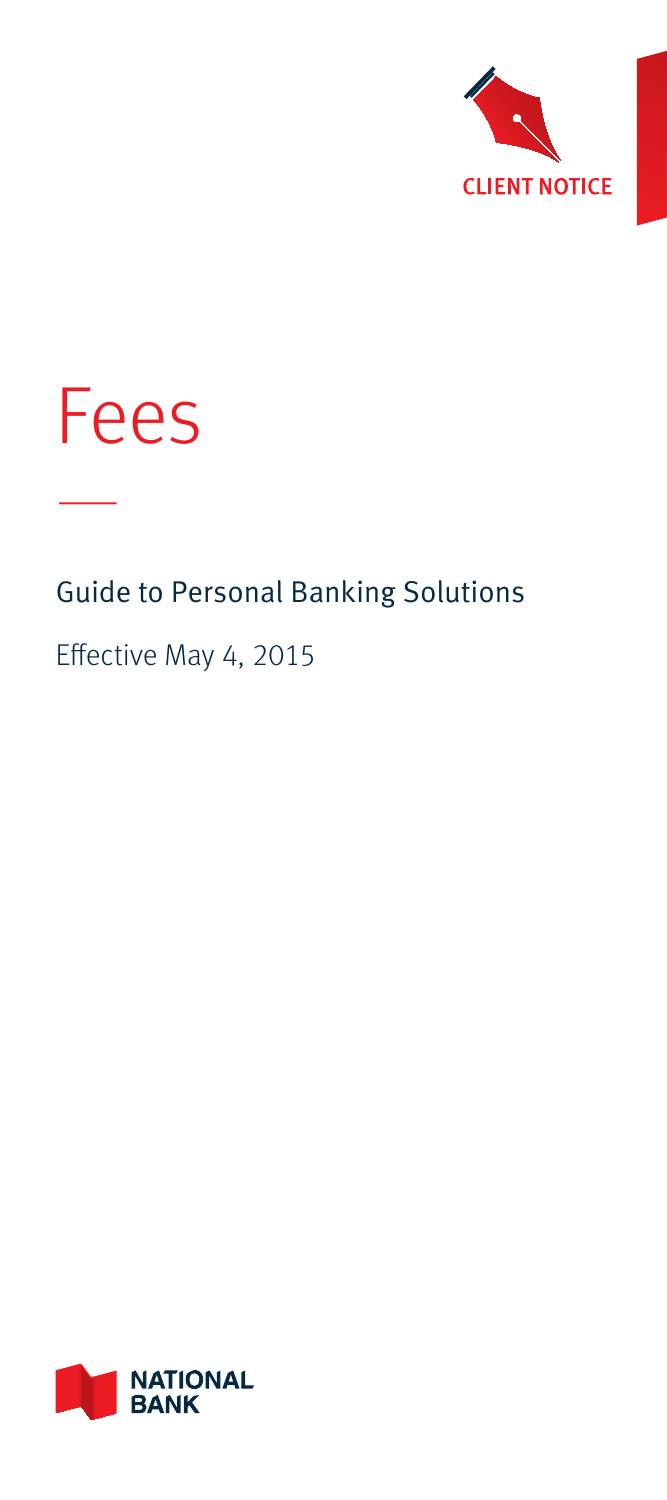



—

# Guide to Personal Banking Solutions

### Effective May 4, 2015

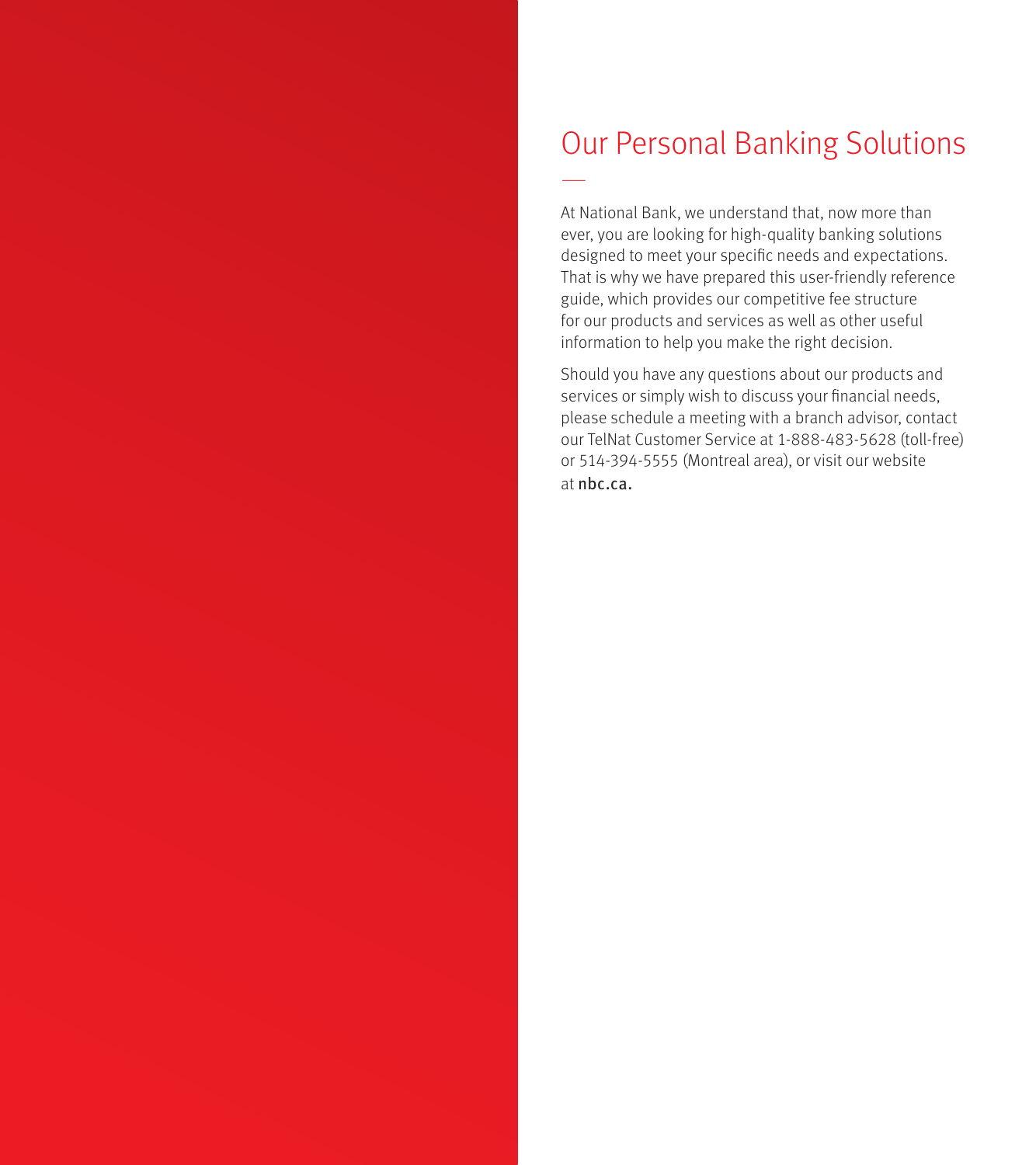# Our Personal Banking Solutions

—

At National Bank, we understand that, now more than ever, you are looking for high-quality banking solutions designed to meet your specific needs and expectations. That is why we have prepared this user-friendly reference guide, which provides our competitive fee structure for our products and services as well as other useful information to help you make the right decision.

Should you have any questions about our products and services or simply wish to discuss your financial needs, please schedule a meeting with a branch advisor, contact our TelNat Customer Service at 1-888-483-5628 (toll-free) or 514-394-5555 (Montreal area), or visit our website at nbc.ca.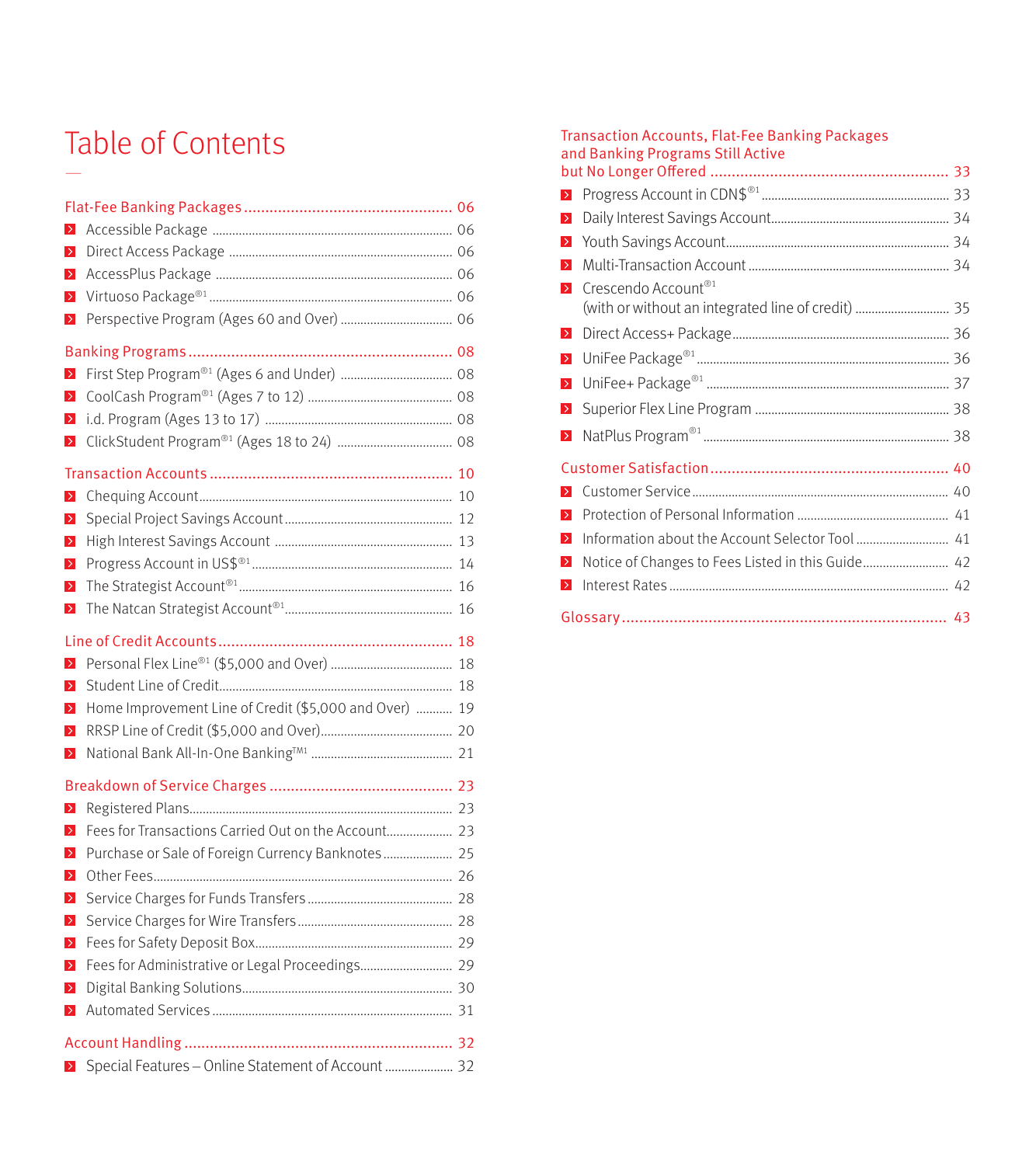## Table of Contents —

| $\rightarrow$    |                                                        |  |
|------------------|--------------------------------------------------------|--|
| $\rightarrow$    |                                                        |  |
| $\,$             |                                                        |  |
| $\,$             |                                                        |  |
| $\,$             |                                                        |  |
|                  |                                                        |  |
| $\,>\,$          |                                                        |  |
| $\,$             |                                                        |  |
| $\,$             |                                                        |  |
| $\,>\,$          |                                                        |  |
|                  |                                                        |  |
| Þ,               |                                                        |  |
| $\,>\,$          |                                                        |  |
| $\,>\,$          |                                                        |  |
| $\,$             |                                                        |  |
| $\,$             |                                                        |  |
| $\geq$           |                                                        |  |
|                  |                                                        |  |
| $\rightarrow$    |                                                        |  |
| $\rightarrow$    |                                                        |  |
| $\rightarrow$    | Home Improvement Line of Credit (\$5,000 and Over)  19 |  |
| $\rightarrow$    |                                                        |  |
| $\geq$           |                                                        |  |
|                  |                                                        |  |
| $\,>\,$          |                                                        |  |
| $\,$             | Fees for Transactions Carried Out on the Account 23    |  |
| $\rightarrow$    | Purchase or Sale of Foreign Currency Banknotes 25      |  |
| $\,>\,$          |                                                        |  |
| $\,>$            |                                                        |  |
| $\geq$           |                                                        |  |
| D,               |                                                        |  |
| $\triangleright$ | Fees for Administrative or Legal Proceedings 29        |  |
| $\rightarrow$    |                                                        |  |
| $\,$             |                                                        |  |
|                  |                                                        |  |
|                  | ▶ Special Features - Online Statement of Account  32   |  |
|                  |                                                        |  |

#### Transaction Accounts, Flat-Fee Banking Packages and Banking Programs Still Active

| $\geq$           |                                                   |  |
|------------------|---------------------------------------------------|--|
| D,               |                                                   |  |
| D.               |                                                   |  |
| $\rightarrow$    |                                                   |  |
| $\geq$           | Crescendo Account <sup>®1</sup>                   |  |
| $\geq$           |                                                   |  |
| $\triangleright$ |                                                   |  |
| $\rightarrow$    |                                                   |  |
| $\geq$           |                                                   |  |
| $\triangleright$ |                                                   |  |
|                  |                                                   |  |
| $\rightarrow$    |                                                   |  |
| $\geq$           |                                                   |  |
| $\rightarrow$    |                                                   |  |
| $\triangleright$ | Notice of Changes to Fees Listed in this Guide 42 |  |
| $\rightarrow$    |                                                   |  |
|                  |                                                   |  |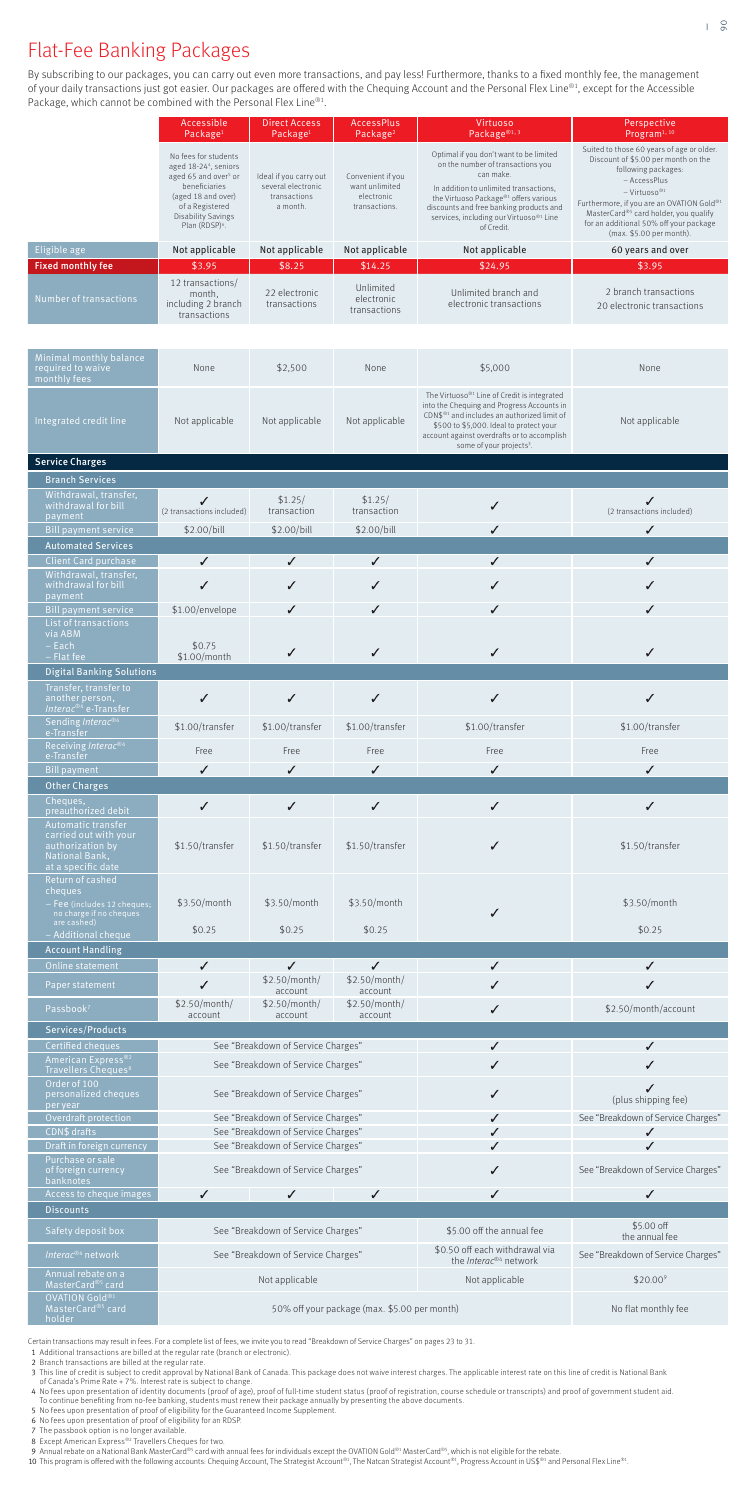# Flat-Fee Banking Packages

By subscribing to our packages, you can carry out even more transactions, and pay less! Furthermore, thanks to a fixed monthly fee, the management of your daily transactions just got easier. Our packages are offered with the Chequing Account and the Personal Flex Line®1, except for the Accessible Package, which cannot be combined with the Personal Flex Line®1.

- <sup>1</sup>Additional transactions are billed at the regular rate (branch or electronic).
- 2 Branch transactions are billed at the regular rate.
- 3 This line of credit is subject to credit approval by National Bank of Canada. This package does not waive interest charges. The applicable interest rate on this line of credit is National Bank<br>of Canada's Prime Rate + 7%
- <sup>4</sup>No fees upon presentation of identity documents (proof of age), proof of full-time student status (proof of registration, course schedule or transcripts) and proof of government student aid. To continue benefiting from no-fee banking, students must renew their package annually by presenting the above documents.
- 5 No fees upon presentation of proof of eligibility for the Guaranteed Income Supplement.
- 6 No fees upon presentation of proof of eligibility for an RDSP.
- 7 The passbook option is no longer available.
- 8 Except American Express®<sup>2</sup> Travellers Cheques for two.
- 9 Annual rebate on a National Bank MasterCard®5 card with annual fees for individuals except the OVATION Gold®1 MasterCard®5, which is not eligible for the rebate.
- 10 This program is offered with the following accounts: Chequing Account, The Strategist Account®1, The Natcan Strategist Account®1, Progress Account in US\$®1 and Personal Flex Line®1.

Certain transactions may result in fees. For a complete list of fees, we invite you to read "Breakdown of Service Charges" on pages 23 to 31.

|                                                                                                         | Accessible<br>Package <sup>1</sup>                                                                                                                                                                    | Direct Access<br>Package <sup>1</sup>                                    | AccessPlus<br>Package <sup>2</sup>                                 | Virtuoso<br>Package <sup>®1,3</sup>                                                                                                                                                                                                                                                                | Perspective<br>Program <sup>1, 10</sup>                                                                                                                                                                                                                                                                                      |
|---------------------------------------------------------------------------------------------------------|-------------------------------------------------------------------------------------------------------------------------------------------------------------------------------------------------------|--------------------------------------------------------------------------|--------------------------------------------------------------------|----------------------------------------------------------------------------------------------------------------------------------------------------------------------------------------------------------------------------------------------------------------------------------------------------|------------------------------------------------------------------------------------------------------------------------------------------------------------------------------------------------------------------------------------------------------------------------------------------------------------------------------|
|                                                                                                         | No fees for students<br>aged 18-244, seniors<br>aged 65 and over <sup>5</sup> or<br>beneficiaries<br>(aged 18 and over)<br>of a Registered<br><b>Disability Savings</b><br>Plan (RDSP) <sup>6</sup> . | Ideal if you carry out<br>several electronic<br>transactions<br>a month. | Convenient if you<br>want unlimited<br>electronic<br>transactions. | Optimal if you don't want to be limited<br>on the number of transactions you<br>can make.<br>In addition to unlimited transactions,<br>the Virtuoso Package® <sup>1</sup> offers various<br>discounts and free banking products and<br>services, including our Virtuoso®1 Line<br>of Credit.       | Suited to those 60 years of age or older.<br>Discount of \$5.00 per month on the<br>following packages:<br>- AccessPlus<br>$-Virtu 050^{\circledR1}$<br>Furthermore, if you are an OVATION Gold®1<br>MasterCard® <sup>5</sup> card holder, you qualify<br>for an additional 50% off your package<br>(max. \$5.00 per month). |
| Eligible age                                                                                            | Not applicable<br>\$3.95                                                                                                                                                                              | Not applicable<br>\$8.25                                                 | Not applicable<br>\$14.25                                          | Not applicable<br>\$24.95                                                                                                                                                                                                                                                                          | 60 years and over<br>\$3.95                                                                                                                                                                                                                                                                                                  |
| <b>Fixed monthly fee</b><br>Number of transactions                                                      | 12 transactions/<br>month,<br>including 2 branch<br>transactions                                                                                                                                      | 22 electronic<br>transactions                                            | Unlimited<br>electronic<br>transactions                            | Unlimited branch and<br>electronic transactions                                                                                                                                                                                                                                                    | 2 branch transactions<br>20 electronic transactions                                                                                                                                                                                                                                                                          |
| Minimal monthly balance<br>required to waive<br>monthly fees                                            | None                                                                                                                                                                                                  | \$2,500                                                                  | None                                                               | \$5,000                                                                                                                                                                                                                                                                                            | None                                                                                                                                                                                                                                                                                                                         |
| Integrated credit line                                                                                  | Not applicable                                                                                                                                                                                        | Not applicable                                                           | Not applicable                                                     | The Virtuoso® <sup>1</sup> Line of Credit is integrated<br>into the Chequing and Progress Accounts in<br>CDN\$ <sup>®1</sup> and includes an authorized limit of<br>\$500 to \$5,000. Ideal to protect your<br>account against overdrafts or to accomplish<br>some of your projects <sup>3</sup> . | Not applicable                                                                                                                                                                                                                                                                                                               |
| <b>Service Charges</b>                                                                                  |                                                                                                                                                                                                       |                                                                          |                                                                    |                                                                                                                                                                                                                                                                                                    |                                                                                                                                                                                                                                                                                                                              |
| <b>Branch Services</b>                                                                                  |                                                                                                                                                                                                       |                                                                          |                                                                    |                                                                                                                                                                                                                                                                                                    |                                                                                                                                                                                                                                                                                                                              |
| Withdrawal, transfer,<br>withdrawal for bill<br>payment                                                 | (2 transactions included)                                                                                                                                                                             | \$1.25/<br>transaction                                                   | \$1.25/<br>transaction                                             | ✓<br>✓                                                                                                                                                                                                                                                                                             | ✓<br>(2 transactions included)<br>✓                                                                                                                                                                                                                                                                                          |
| <b>Bill payment service</b><br><b>Automated Services</b>                                                | \$2.00/bill                                                                                                                                                                                           | \$2.00/bill                                                              | \$2.00/bill                                                        |                                                                                                                                                                                                                                                                                                    |                                                                                                                                                                                                                                                                                                                              |
| <b>Client Card purchase</b>                                                                             | $\checkmark$                                                                                                                                                                                          | $\checkmark$                                                             | $\checkmark$                                                       | ✓                                                                                                                                                                                                                                                                                                  | ✓                                                                                                                                                                                                                                                                                                                            |
| Withdrawal, transfer,<br>withdrawal for bill                                                            | ✓                                                                                                                                                                                                     | ✓                                                                        | ✓                                                                  | ✓                                                                                                                                                                                                                                                                                                  | ✓                                                                                                                                                                                                                                                                                                                            |
| payment                                                                                                 |                                                                                                                                                                                                       |                                                                          |                                                                    |                                                                                                                                                                                                                                                                                                    |                                                                                                                                                                                                                                                                                                                              |
| <b>Bill payment service</b><br>List of transactions<br>via ABM                                          | \$1.00/envelope                                                                                                                                                                                       | ✓                                                                        | ✓                                                                  | ✓                                                                                                                                                                                                                                                                                                  | ✓                                                                                                                                                                                                                                                                                                                            |
| – Each<br>$-$ Flat fee                                                                                  | \$0.75<br>\$1.00/month                                                                                                                                                                                | ✓                                                                        | ✓                                                                  | ✓                                                                                                                                                                                                                                                                                                  | ✓                                                                                                                                                                                                                                                                                                                            |
| <b>Digital Banking Solutions</b>                                                                        |                                                                                                                                                                                                       |                                                                          |                                                                    |                                                                                                                                                                                                                                                                                                    |                                                                                                                                                                                                                                                                                                                              |
| Transfer, transfer to<br>another person,<br>Interac® <sup>4</sup> e-Transfer                            | $\checkmark$                                                                                                                                                                                          | $\checkmark$                                                             | $\checkmark$                                                       | ✓                                                                                                                                                                                                                                                                                                  | ✓                                                                                                                                                                                                                                                                                                                            |
| Sending Interac® <sup>4</sup><br>e-Transfer                                                             | \$1.00/transfer                                                                                                                                                                                       | \$1.00/transfer                                                          | \$1.00/transfer                                                    | \$1.00/transfer                                                                                                                                                                                                                                                                                    | \$1.00/transfer                                                                                                                                                                                                                                                                                                              |
| Receiving Interac®4                                                                                     | Free                                                                                                                                                                                                  | Free                                                                     | Free                                                               | Free                                                                                                                                                                                                                                                                                               | Free                                                                                                                                                                                                                                                                                                                         |
| e-Transfer<br><b>Bill payment</b>                                                                       | ✓                                                                                                                                                                                                     | $\checkmark$                                                             | ✓                                                                  | ✓                                                                                                                                                                                                                                                                                                  | $\checkmark$                                                                                                                                                                                                                                                                                                                 |
| <b>Other Charges</b>                                                                                    |                                                                                                                                                                                                       |                                                                          |                                                                    |                                                                                                                                                                                                                                                                                                    |                                                                                                                                                                                                                                                                                                                              |
| Cheques,<br>preauthorized debit                                                                         | $\checkmark$                                                                                                                                                                                          | $\checkmark$                                                             | $\checkmark$                                                       | $\checkmark$                                                                                                                                                                                                                                                                                       | ✓                                                                                                                                                                                                                                                                                                                            |
| Automatic transfer<br>carried out with your<br>authorization by<br>National Bank,<br>at a specific date | \$1.50/transfer                                                                                                                                                                                       | \$1.50/transfer                                                          | \$1.50/transfer                                                    | ✓                                                                                                                                                                                                                                                                                                  | \$1.50/transfer                                                                                                                                                                                                                                                                                                              |
| Return of cashed<br>cheques<br>- Fee (includes 12 cheques;<br>no charge if no cheques                   | \$3.50/month                                                                                                                                                                                          | \$3.50/month                                                             | \$3.50/month                                                       | ✓                                                                                                                                                                                                                                                                                                  | \$3.50/month                                                                                                                                                                                                                                                                                                                 |
| are cashed)<br>- Additional cheque                                                                      | \$0.25                                                                                                                                                                                                | \$0.25                                                                   | \$0.25                                                             |                                                                                                                                                                                                                                                                                                    | \$0.25                                                                                                                                                                                                                                                                                                                       |
| <b>Account Handling</b>                                                                                 |                                                                                                                                                                                                       |                                                                          |                                                                    |                                                                                                                                                                                                                                                                                                    |                                                                                                                                                                                                                                                                                                                              |
| Online statement                                                                                        | $\checkmark$                                                                                                                                                                                          | $\checkmark$<br>\$2.50/month/                                            | $\checkmark$<br>\$2.50/month/                                      | $\checkmark$                                                                                                                                                                                                                                                                                       | ✓                                                                                                                                                                                                                                                                                                                            |
| Paper statement                                                                                         | ✓<br>\$2.50/month/                                                                                                                                                                                    | account<br>\$2.50/month/                                                 | account<br>\$2.50/month/                                           |                                                                                                                                                                                                                                                                                                    | ✓                                                                                                                                                                                                                                                                                                                            |
| Passbook <sup>7</sup>                                                                                   | account                                                                                                                                                                                               | account                                                                  | account                                                            | ✓                                                                                                                                                                                                                                                                                                  | \$2.50/month/account                                                                                                                                                                                                                                                                                                         |
| Services/Products                                                                                       |                                                                                                                                                                                                       |                                                                          |                                                                    |                                                                                                                                                                                                                                                                                                    |                                                                                                                                                                                                                                                                                                                              |
| Certified cheques<br>American Express® <sup>2</sup>                                                     |                                                                                                                                                                                                       | See "Breakdown of Service Charges"                                       |                                                                    | ✓                                                                                                                                                                                                                                                                                                  | ✓                                                                                                                                                                                                                                                                                                                            |
| Travellers Cheques <sup>8</sup><br>Order of 100                                                         |                                                                                                                                                                                                       | See "Breakdown of Service Charges"                                       |                                                                    | ✓                                                                                                                                                                                                                                                                                                  | ✓                                                                                                                                                                                                                                                                                                                            |
| personalized cheques<br>per year                                                                        |                                                                                                                                                                                                       | See "Breakdown of Service Charges"                                       |                                                                    | ✓                                                                                                                                                                                                                                                                                                  | ✓<br>(plus shipping fee)                                                                                                                                                                                                                                                                                                     |
| Overdraft protection<br>CDN\$ drafts                                                                    |                                                                                                                                                                                                       | See "Breakdown of Service Charges"<br>See "Breakdown of Service Charges" |                                                                    | ✓                                                                                                                                                                                                                                                                                                  | See "Breakdown of Service Charges"<br>✓                                                                                                                                                                                                                                                                                      |
| Draft in foreign currency                                                                               |                                                                                                                                                                                                       | See "Breakdown of Service Charges"                                       |                                                                    | ✓                                                                                                                                                                                                                                                                                                  | ✓                                                                                                                                                                                                                                                                                                                            |
| Purchase or sale<br>of foreign currency<br>banknotes                                                    |                                                                                                                                                                                                       | See "Breakdown of Service Charges"                                       |                                                                    |                                                                                                                                                                                                                                                                                                    | See "Breakdown of Service Charges"                                                                                                                                                                                                                                                                                           |
| Access to cheque images                                                                                 | ✓                                                                                                                                                                                                     | ✓                                                                        | ✓                                                                  |                                                                                                                                                                                                                                                                                                    | ✓                                                                                                                                                                                                                                                                                                                            |
| <b>Discounts</b>                                                                                        |                                                                                                                                                                                                       |                                                                          |                                                                    |                                                                                                                                                                                                                                                                                                    | \$5.00 off                                                                                                                                                                                                                                                                                                                   |
| Safety deposit box<br>Interac® <sup>4</sup> network                                                     |                                                                                                                                                                                                       | See "Breakdown of Service Charges"<br>See "Breakdown of Service Charges" |                                                                    | \$5.00 off the annual fee<br>\$0.50 off each withdrawal via                                                                                                                                                                                                                                        | the annual fee<br>See "Breakdown of Service Charges"                                                                                                                                                                                                                                                                         |
| Annual rebate on a                                                                                      |                                                                                                                                                                                                       |                                                                          |                                                                    | the <i>Interac®4</i> network                                                                                                                                                                                                                                                                       |                                                                                                                                                                                                                                                                                                                              |
| MasterCard <sup>®5</sup> card                                                                           |                                                                                                                                                                                                       | Not applicable                                                           |                                                                    | Not applicable                                                                                                                                                                                                                                                                                     | $$20.00^9$                                                                                                                                                                                                                                                                                                                   |
| OVATION Gold®1<br>MasterCard® <sup>5</sup> card<br>holder                                               | 50% off your package (max. \$5.00 per month)                                                                                                                                                          |                                                                          |                                                                    | No flat monthly fee                                                                                                                                                                                                                                                                                |                                                                                                                                                                                                                                                                                                                              |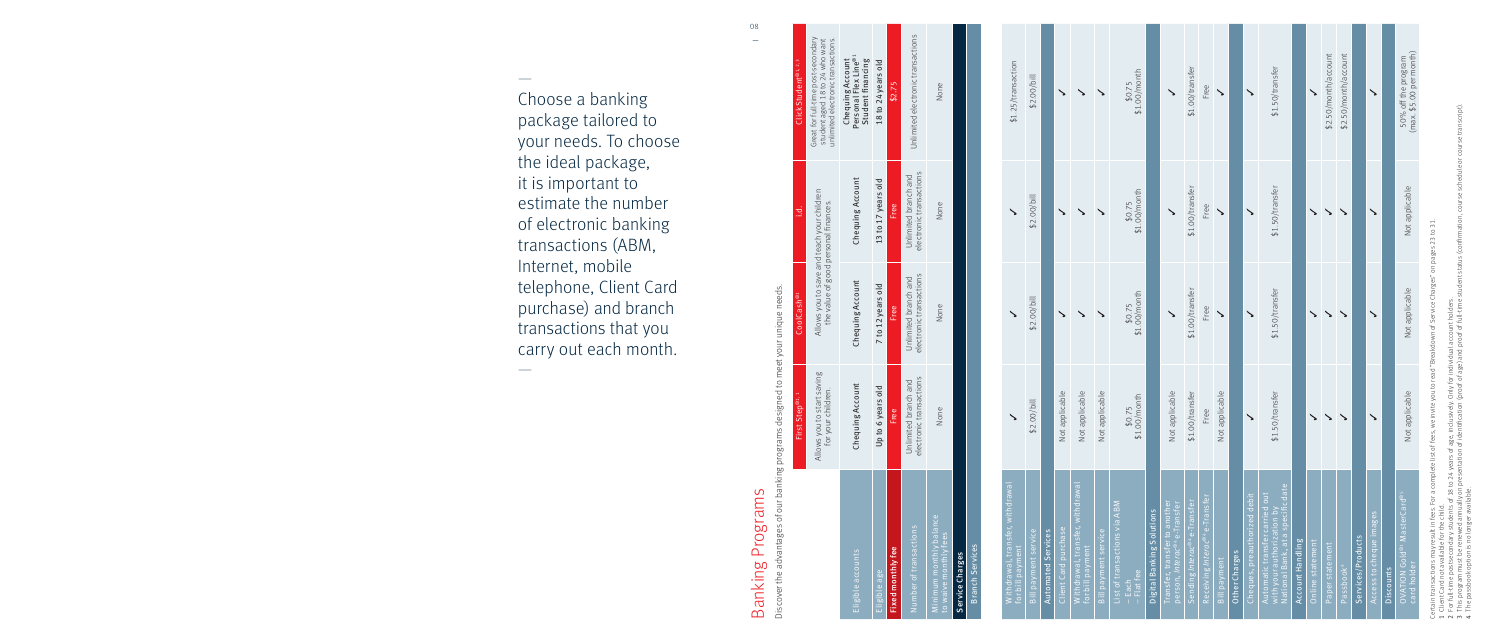Choose a banking package tailored to your needs. To choose the ideal package, it is important to estimate the number of electronic banking transactions (ABM, Internet, mobile telephone, Client Card purchase) and branch transactions that you carry out each month. —

—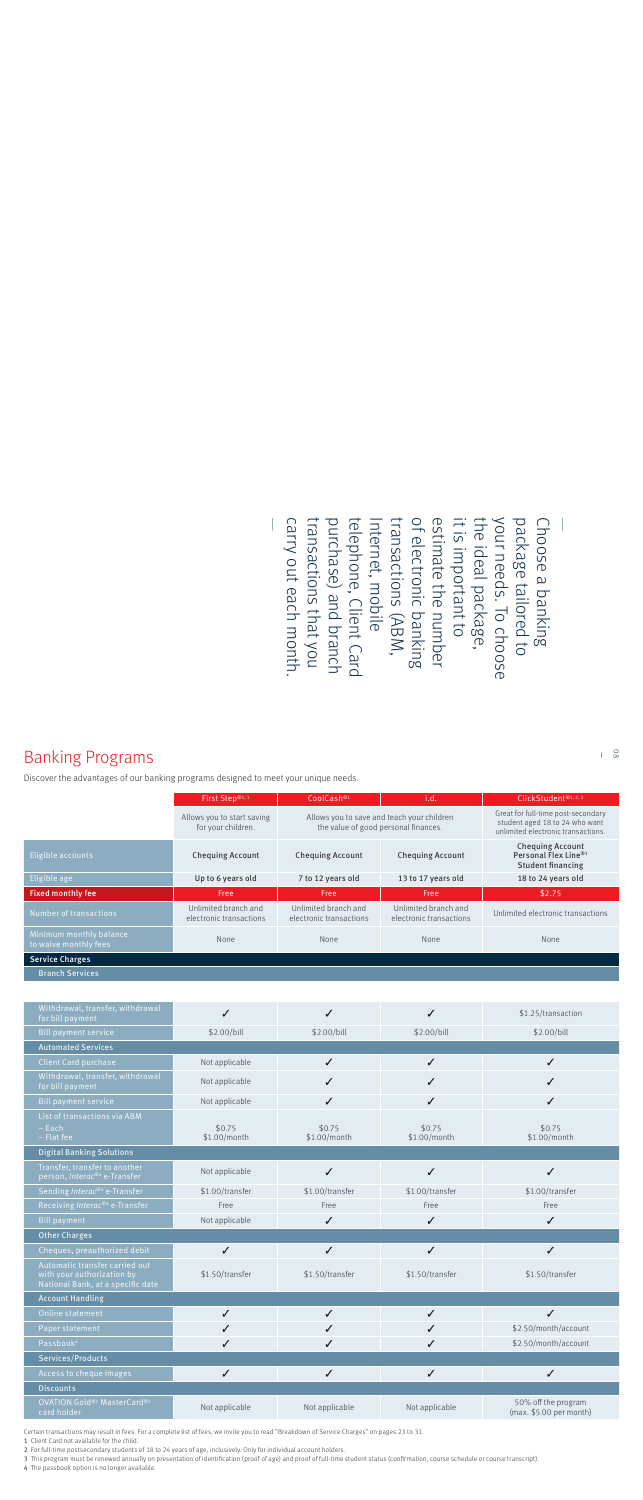# **Banking Programs**

Discover the advantages of our banking programs designed to meet your unique needs.

|                                                  | First Step®1,1                                   | i.d.<br>CoolCash <sup>®1</sup>                                                     |                                                 | ClickStudent®1, 2,3                                                                                        |
|--------------------------------------------------|--------------------------------------------------|------------------------------------------------------------------------------------|-------------------------------------------------|------------------------------------------------------------------------------------------------------------|
|                                                  | Allows you to start saving<br>for your children. | Allows you to save and teach your children<br>the value of good personal finances. |                                                 | Great for full-time post-secondary<br>student aged 18 to 24 who want<br>unlimited electronic transactions. |
| Eligible accounts                                | <b>Chequing Account</b>                          | <b>Chequing Account</b>                                                            | <b>Chequing Account</b>                         | <b>Chequing Account</b><br>Personal Flex Line® <sup>1</sup><br><b>Student financing</b>                    |
| Eligible age                                     | Up to 6 years old                                | 7 to 12 years old                                                                  | 13 to 17 years old                              | 18 to 24 years old                                                                                         |
|                                                  |                                                  |                                                                                    |                                                 | \$2.75                                                                                                     |
| <b>Fixed monthly fee</b>                         | Free                                             | Free                                                                               | Free                                            |                                                                                                            |
| Number of transactions                           | Unlimited branch and<br>electronic transactions  | Unlimited branch and<br>electronic transactions                                    | Unlimited branch and<br>electronic transactions | Unlimited electronic transactions                                                                          |
| Minimum monthly balance<br>to waive monthly fees | None                                             | <b>None</b>                                                                        | None                                            | None                                                                                                       |
| <b>Service Charges</b>                           |                                                  |                                                                                    |                                                 |                                                                                                            |

| Withdrawal, transfer, withdrawal<br>for bill payment                                              | ✓                      |                        | ✓                      | \$1.25/transaction                             |
|---------------------------------------------------------------------------------------------------|------------------------|------------------------|------------------------|------------------------------------------------|
| <b>Bill payment service</b>                                                                       | \$2.00/bill            | \$2.00/bill            | \$2.00/bill            | \$2.00/bill                                    |
| <b>Automated Services</b>                                                                         |                        |                        |                        |                                                |
| <b>Client Card purchase</b>                                                                       | Not applicable         | $\checkmark$           | $\checkmark$           | $\checkmark$                                   |
| Withdrawal, transfer, withdrawal<br>for bill payment                                              | Not applicable         | ✓                      | ✓                      | ✓                                              |
| <b>Bill payment service</b>                                                                       | Not applicable         | $\checkmark$           | ✓                      | ✓                                              |
| List of transactions via ABM<br>$-$ Each<br>$-$ Flat fee                                          | \$0.75<br>\$1.00/month | \$0.75<br>\$1.00/month | \$0.75<br>\$1.00/month | \$0.75<br>\$1.00/month                         |
| <b>Digital Banking Solutions</b>                                                                  |                        |                        |                        |                                                |
| Transfer, transfer to another<br>person, Interac® <sup>4</sup> e-Transfer                         | Not applicable         | $\checkmark$           | ✓                      | ✓                                              |
| Sending Interac® <sup>4</sup> e-Transfer                                                          | \$1.00/transfer        | \$1.00/transfer        | \$1.00/transfer        | \$1.00/transfer                                |
| Receiving Interac® <sup>4</sup> e-Transfer                                                        | Free                   | Free                   | Free                   | Free                                           |
| <b>Bill payment</b>                                                                               | Not applicable         | ✓                      | ✓                      | ✓                                              |
| <b>Other Charges</b>                                                                              |                        |                        |                        |                                                |
| Cheques, preauthorized debit                                                                      | $\checkmark$           | $\checkmark$           | $\checkmark$           | $\checkmark$                                   |
| Automatic transfer carried out<br>with your authorization by<br>National Bank, at a specific date | \$1.50/transfer        | \$1.50/transfer        | \$1.50/transfer        | \$1.50/transfer                                |
| <b>Account Handling</b>                                                                           |                        |                        |                        |                                                |
| Online statement                                                                                  | $\checkmark$           | $\checkmark$           | $\checkmark$           | $\checkmark$                                   |
| Paper statement                                                                                   | ✓                      | ✓                      | ✓                      | \$2.50/month/account                           |
| Passbook <sup>4</sup>                                                                             | ✓                      | ✓                      | ✓                      | \$2.50/month/account                           |
| Services/Products                                                                                 |                        |                        |                        |                                                |
| Access to cheque images                                                                           | $\checkmark$           | ✓                      | $\checkmark$           | ✓                                              |
| <b>Discounts</b>                                                                                  |                        |                        |                        |                                                |
| OVATION Gold® <sup>1</sup> MasterCard® <sup>5</sup><br>card holder                                | Not applicable         | Not applicable         | Not applicable         | 50% off the program<br>(max. \$5.00 per month) |

Certain transactions may result in fees. For a complete list of fees, we invite you to read "Breakdown of Service Charges" on pages 23 to 31.

1 Client Card not available for the child.

2 For full-time postsecondary students of 18 to 24 years of age, inclusively. Only for individual account holders.

3 This program must be renewed annually on presentation of identification (proof of age) and proof of full-time student status (confirmation, course schedule or course transcript).

4 The passbook option is no longer available.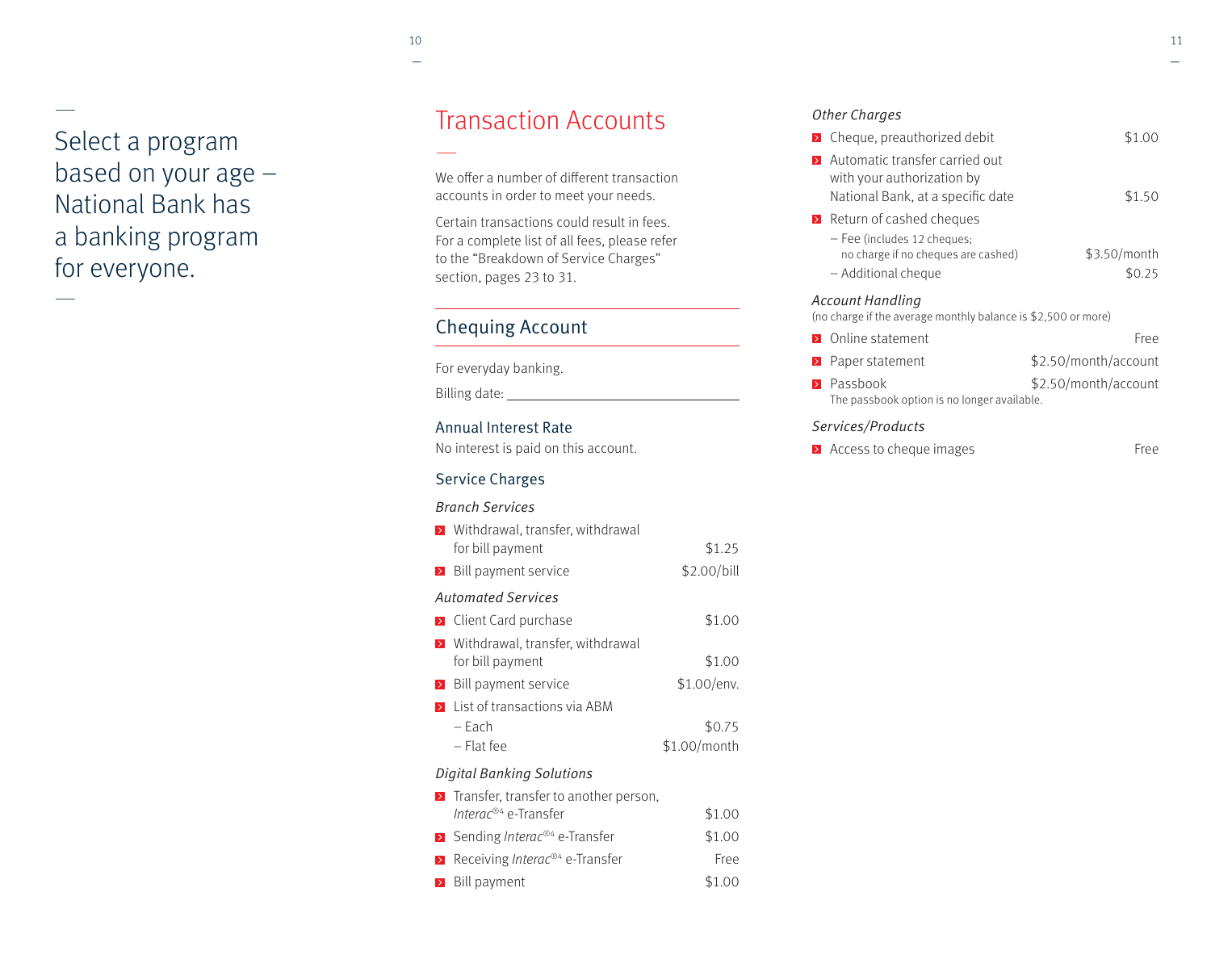# — Select a program based on your age – National Bank has a banking program for everyone.

—

# Transaction Accounts

We offer a number of different transaction accounts in order to meet your needs.

Certain transactions could result in fees. For a complete list of all fees, please refer to the "Breakdown of Service Charges" section, pages 23 to 31.

### Chequing Account

For everyday banking.

Billing date:

### Annual Interest Rate

No interest is paid on this account.

### Service Charges

#### Branch Services

| > Withdrawal, transfer, withdrawal<br>for bill payment                                            | \$1.25       |
|---------------------------------------------------------------------------------------------------|--------------|
| $\triangleright$ Bill payment service                                                             | \$2.00/bill  |
| <b>Automated Services</b>                                                                         |              |
| <b>E</b> Client Card purchase                                                                     | \$1.00       |
| > Withdrawal, transfer, withdrawal<br>for bill payment                                            | \$1.00       |
| $\triangleright$ Bill payment service                                                             | \$1.00/env.  |
| <b>E</b> List of transactions via ABM<br>– Fach                                                   | \$0.75       |
| – Flat fee                                                                                        | \$1.00/month |
| <b>Digital Banking Solutions</b>                                                                  |              |
| $\triangleright$ Transfer, transfer to another person,<br><i>Interac®</i> <sup>4</sup> e-Transfer | \$1.00       |

| Interac <sup>®4</sup> e-Transfer                          | \$1.00      |
|-----------------------------------------------------------|-------------|
| <b>Ex</b> Sending <i>Interac</i> <sup>®4</sup> e-Transfer | \$1.00      |
| Receiving <i>Interac</i> <sup>®4</sup> e-Transfer         | <b>Free</b> |
| <b>Bill payment</b>                                       | \$1.00      |

### Other Charges

| <b>EX</b> Cheque, preauthorized debit                                                             | \$1.00                 |
|---------------------------------------------------------------------------------------------------|------------------------|
| Automatic transfer carried out<br>with your authorization by<br>National Bank, at a specific date | \$1.50                 |
| <b>E</b> Return of cashed cheques                                                                 |                        |
| - Fee (includes 12 cheques;<br>no charge if no cheques are cashed)<br>- Additional cheque         | \$3.50/month<br>\$0.25 |
| Account Handling<br>(no charge if the average monthly balance is \$2,500 or more)                 |                        |
| <b>D</b> Online statement                                                                         | Free                   |
| Paper statement                                                                                   | \$2.50/month/account   |
| Passbook<br>The passbook option is no longer available.                                           | \$2.50/month/account   |
| Services/Products                                                                                 |                        |

**Access to cheque images** Free

—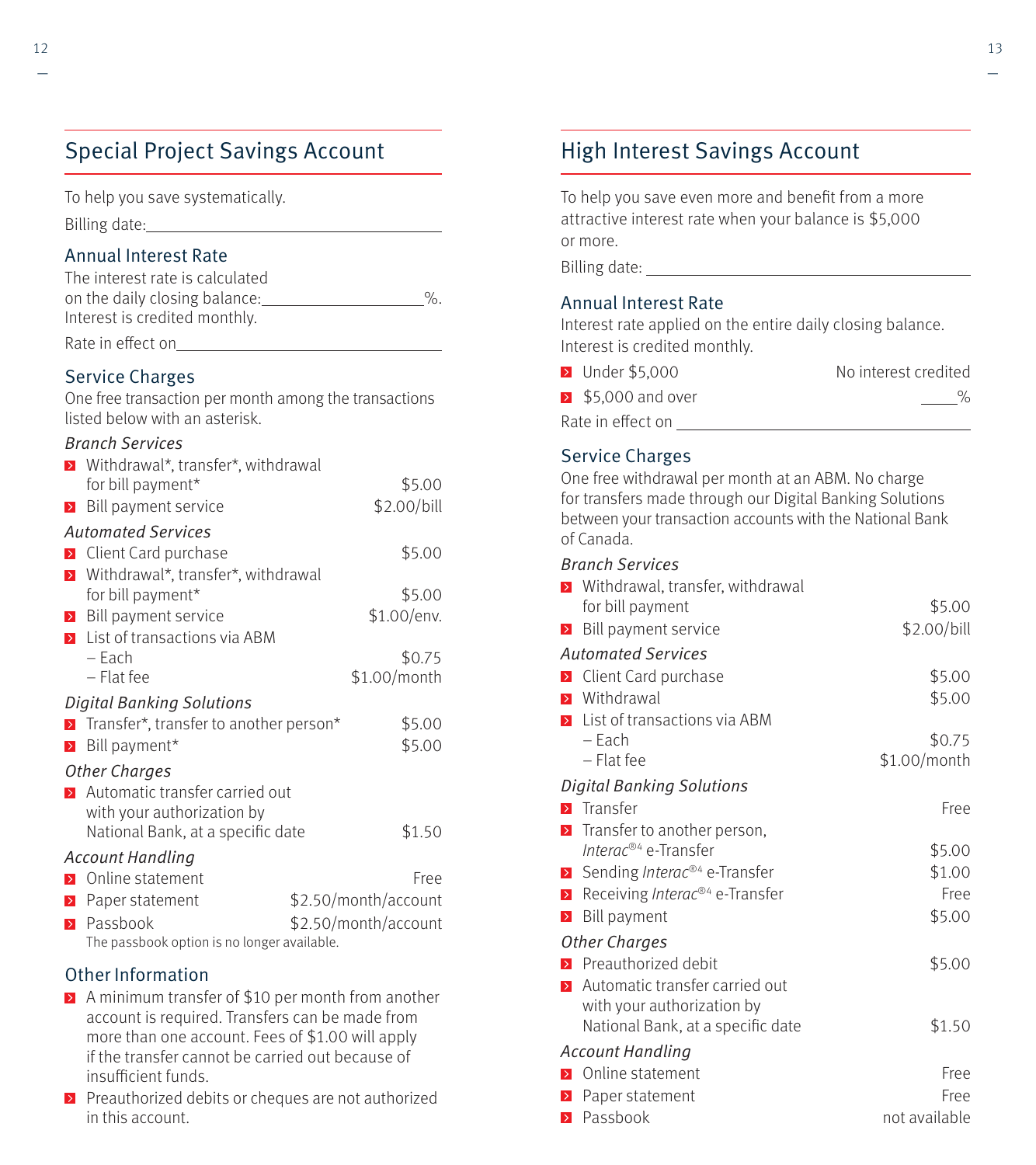### Special Project Savings Account

on the daily closing balance:  $\%$ .

Rate in effect on

To help you save systematically. Billing date: Annual Interest Rate The interest rate is calculated

Interest is credited monthly.

|                  | <b>Service Charges</b><br>One free transaction per month among the transactions<br>listed below with an asterisk. |                      |
|------------------|-------------------------------------------------------------------------------------------------------------------|----------------------|
|                  | <b>Branch Services</b>                                                                                            |                      |
|                  | > Withdrawal*, transfer*, withdrawal                                                                              |                      |
|                  | for bill payment*                                                                                                 | \$5.00               |
| $\geq$           | Bill payment service                                                                                              | \$2.00/bill          |
|                  | <b>Automated Services</b>                                                                                         |                      |
|                  | <b>EX</b> Client Card purchase                                                                                    | \$5.00               |
| $\triangleright$ | Withdrawal*, transfer*, withdrawal                                                                                |                      |
|                  | for bill payment*                                                                                                 | \$5.00               |
|                  | <b>E</b> Bill payment service                                                                                     | \$1.00/env.          |
|                  | $\sum$ List of transactions via ABM                                                                               |                      |
|                  | $-$ Each                                                                                                          | \$0.75               |
|                  | $-$ Flat fee                                                                                                      | \$1.00/month         |
|                  | <b>Digital Banking Solutions</b>                                                                                  |                      |
|                  | > Transfer*, transfer to another person*                                                                          | \$5.00               |
| $\,$             | Bill payment*                                                                                                     | \$5.00               |
|                  | <b>Other Charges</b>                                                                                              |                      |
|                  | > Automatic transfer carried out                                                                                  |                      |
|                  | with your authorization by                                                                                        |                      |
|                  | National Bank, at a specific date                                                                                 | \$1.50               |
|                  | <b>Account Handling</b>                                                                                           |                      |
|                  | <b>D</b> Online statement                                                                                         | Free                 |
| $\triangleright$ | Paper statement                                                                                                   | \$2.50/month/account |
| $\rightarrow$    | Passbook<br>The passbook option is no longer available.                                                           | \$2.50/month/account |
|                  | Other Information                                                                                                 |                      |

- A minimum transfer of \$10 per month from another account is required. Transfers can be made from more than one account. Fees of \$1.00 will apply if the transfer cannot be carried out because of insufficient funds.
- $\triangleright$  Preauthorized debits or cheques are not authorized in this account.

### High Interest Savings Account

To help you save even more and benefit from a more attractive interest rate when your balance is \$5,000 or more.

Billing date: <u>\_\_\_\_\_\_\_\_\_\_\_\_\_\_\_\_\_\_\_\_\_\_\_\_\_\_\_\_\_\_</u>

### Annual Interest Rate

Interest rate applied on the entire daily closing balance. Interest is credited monthly.

| <b>D</b> Under \$5,000                 | No interest credited |
|----------------------------------------|----------------------|
| $\blacktriangleright$ \$5.000 and over | $\%$                 |
| Rate in effect on                      |                      |

### Service Charges

One free withdrawal per month at an ABM. No charge for transfers made through our Digital Banking Solutions between your transaction accounts with the National Bank of Canada.

|                  | <b>Branch Services</b>                     |               |
|------------------|--------------------------------------------|---------------|
| $\rightarrow$    | Withdrawal, transfer, withdrawal           |               |
|                  | for bill payment                           | \$5.00        |
| $\triangleright$ | Bill payment service                       | \$2.00/bill   |
|                  | <b>Automated Services</b>                  |               |
| $\rightarrow$    | Client Card purchase                       | \$5.00        |
| $\rightarrow$    | Withdrawal                                 | \$5.00        |
| $\rightarrow$    | List of transactions via ABM               |               |
|                  | – Each                                     | \$0.75        |
|                  | $-$ Flat fee                               | \$1.00/month  |
|                  | <b>Digital Banking Solutions</b>           |               |
| $\rightarrow$    | Transfer                                   | Free          |
| $\rightarrow$    | Transfer to another person,                |               |
|                  | Interac® <sup>4</sup> e-Transfer           | \$5.00        |
| $\geq$           | Sending Interac® <sup>4</sup> e-Transfer   | \$1.00        |
| $\geq$           | Receiving Interac® <sup>4</sup> e-Transfer | Free          |
| $\rightarrow$    | Bill payment                               | \$5.00        |
|                  | <b>Other Charges</b>                       |               |
|                  | <b>E</b> Preauthorized debit               | \$5.00        |
| $\rightarrow$    | Automatic transfer carried out             |               |
|                  | with your authorization by                 |               |
|                  | National Bank, at a specific date          | \$1.50        |
|                  | <b>Account Handling</b>                    |               |
| $\rightarrow$    | Online statement                           | Free          |
| $\,$ $\,$        | Paper statement                            | Free          |
| $\rightarrow$    | Passbook                                   | not available |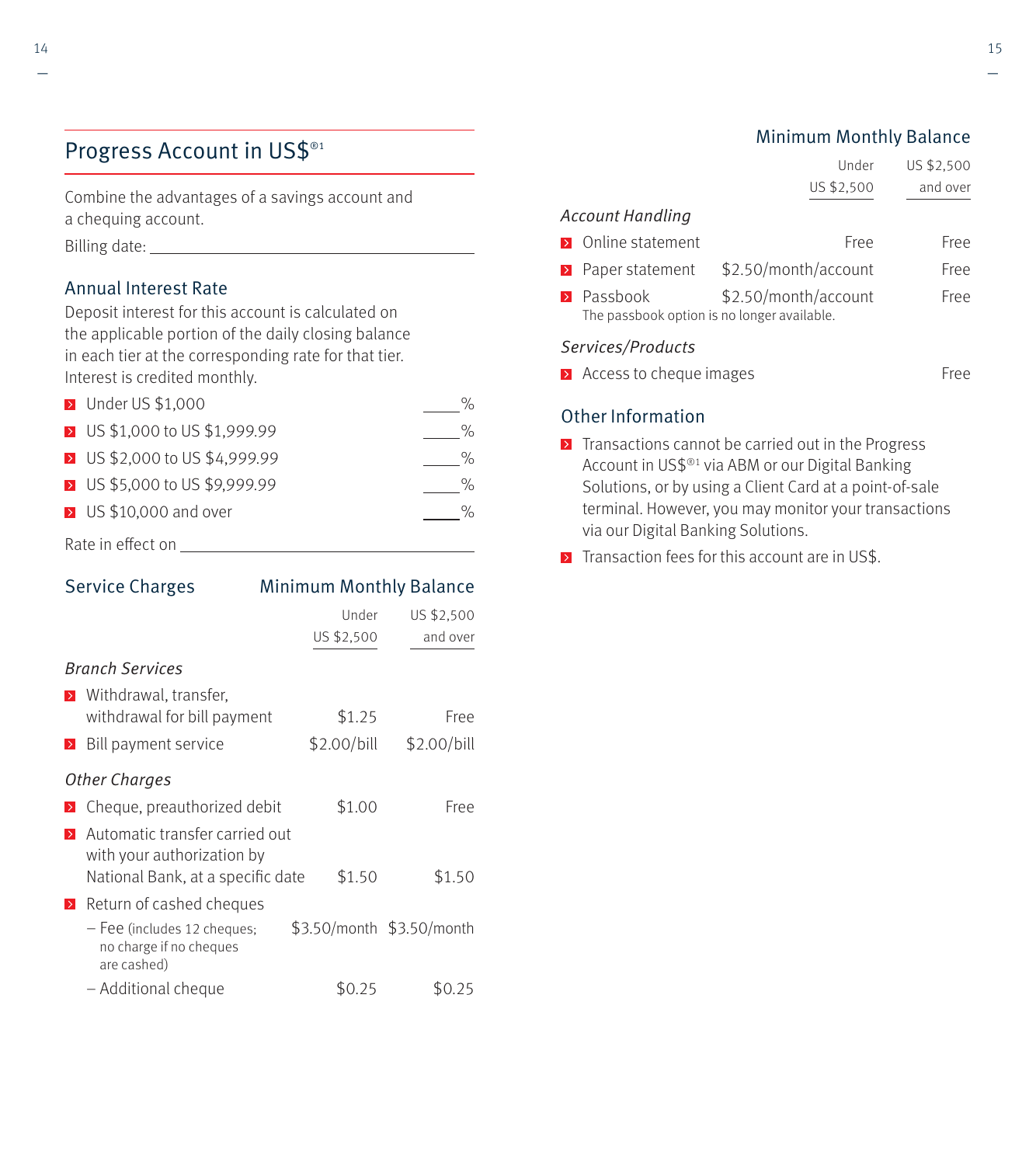## Progress Account in US\$®1

Combine the advantages of a savings account and a chequing account.

Billing date:

### Annual Interest Rate

Deposit interest for this account is calculated on the applicable portion of the daily closing balance in each tier at the corresponding rate for that tier. Interest is credited monthly.

| <b>D</b> Under US \$1,000     |   |
|-------------------------------|---|
| > US \$1,000 to US \$1,999.99 | ℆ |
| > US \$2,000 to US \$4,999.99 | ℆ |
| > US \$5,000 to US \$9,999.99 | ℆ |
| > US \$10,000 and over        |   |
|                               |   |

Rate in eff ect on

| <b>Service Charges</b> |                                                                                                   | <b>Minimum Monthly Balance</b> |                           |  |
|------------------------|---------------------------------------------------------------------------------------------------|--------------------------------|---------------------------|--|
|                        |                                                                                                   | Under                          | US \$2,500                |  |
|                        |                                                                                                   | US \$2,500                     | and over                  |  |
|                        | <b>Branch Services</b>                                                                            |                                |                           |  |
| $\triangleright$       | Withdrawal, transfer,                                                                             |                                |                           |  |
|                        | withdrawal for bill payment                                                                       | \$1.25                         | Free                      |  |
| $\geq$                 | Bill payment service                                                                              | \$2.00/bill                    | \$2.00/bill               |  |
|                        | <b>Other Charges</b>                                                                              |                                |                           |  |
|                        | Cheque, preauthorized debit                                                                       | \$1.00                         | Free                      |  |
| $\triangleright$       | Automatic transfer carried out<br>with your authorization by<br>National Bank, at a specific date | \$1.50                         | \$1.50                    |  |
| $\triangleright$       | Return of cashed cheques                                                                          |                                |                           |  |
|                        | - Fee (includes 12 cheques;<br>no charge if no cheques<br>are cashed)                             |                                | \$3.50/month \$3.50/month |  |
|                        | - Additional cheque                                                                               | \$0.25                         | \$0.25                    |  |

### Minimum Monthly Balance

|                                                                          | Under                | US \$2,500  |
|--------------------------------------------------------------------------|----------------------|-------------|
|                                                                          | US \$2,500           | and over    |
| <b>Account Handling</b>                                                  |                      |             |
| <b>D</b> Online statement                                                | Free                 | Free        |
| <b>E</b> Paper statement                                                 | \$2.50/month/account | Free        |
| $\triangleright$ Passbook<br>The passbook option is no longer available. | \$2.50/month/account | <b>Free</b> |
| Services/Products                                                        |                      |             |
| $\blacktriangleright$ Access to cheque images                            |                      | <b>Free</b> |

### Other Information

- $\triangleright$  Transactions cannot be carried out in the Progress Account in US\$®1 via ABM or our Digital Banking Solutions, or by using a Client Card at a point-of-sale terminal. However, you may monitor your transactions via our Digital Banking Solutions.
- $\triangleright$  Transaction fees for this account are in US\$.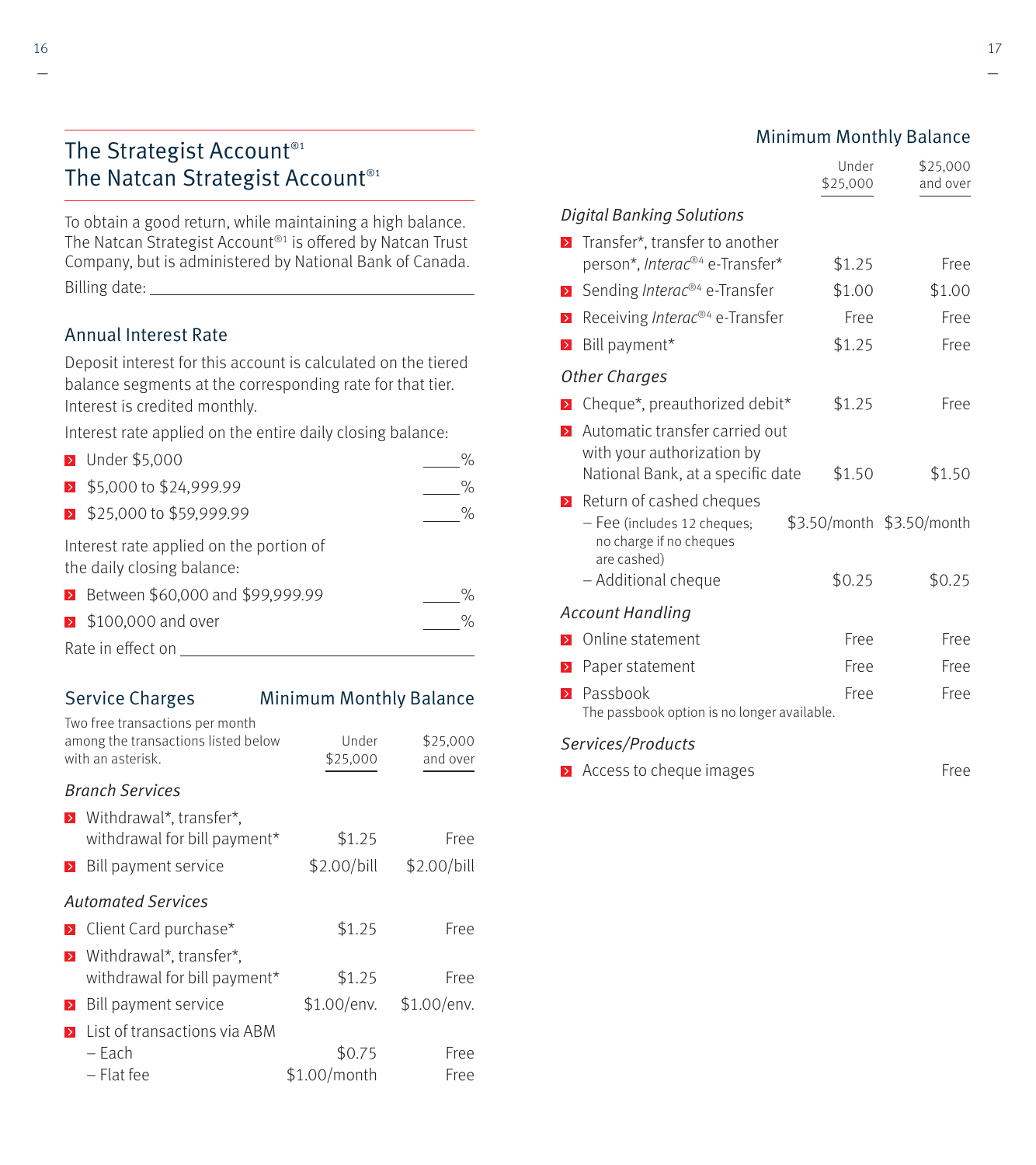### The Strategist Account<sup>®1</sup> The Natcan Strategist Account<sup>®1</sup>

To obtain a good return, while maintaining a high balance. The Natcan Strategist Account<sup>®1</sup> is offered by Natcan Trust Company, but is administered by National Bank of Canada. Billing date:

### Annual Interest Rate

Deposit interest for this account is calculated on the tiered balance segments at the corresponding rate for that tier. Interest is credited monthly.

Interest rate applied on the entire daily closing balance:

| <b>D</b> Under \$5,000                                                |                   |
|-----------------------------------------------------------------------|-------------------|
| ▶ \$5,000 to \$24,999.99                                              | $\%$              |
| ▶ \$25,000 to \$59,999.99                                             | $\%$              |
| Interest rate applied on the portion of<br>the daily closing balance: |                   |
| > Between \$60,000 and \$99,999.99                                    |                   |
| > \$100,000 and over                                                  | $\partial_{\rho}$ |
|                                                                       |                   |

Rate in effect on

### Service Charges Minimum Monthly Balance

| Two free transactions per month<br>among the transactions listed below<br>with an asterisk. | Under<br>\$25,000      | \$25,000<br>and over |
|---------------------------------------------------------------------------------------------|------------------------|----------------------|
| <b>Branch Services</b>                                                                      |                        |                      |
| <b>E</b> Withdrawal*, transfer*,<br>withdrawal for bill payment*                            | \$1.25                 | Free                 |
| Bill payment service<br>$\rightarrow$                                                       | \$2.00/bill            | \$2.00/bill          |
| <b>Automated Services</b>                                                                   |                        |                      |
| <b>E</b> Client Card purchase*                                                              | \$1.25                 | Free                 |
| Withdrawal*, transfer*,<br>$\triangleright$<br>withdrawal for bill payment*                 | \$1.25                 | Free                 |
| Bill payment service<br>$\geq$                                                              | \$1.00/env.            | \$1.00/env.          |
| List of transactions via ABM<br>$\rightarrow$<br>– Each<br>– Flat fee                       | \$0.75<br>\$1.00/month | Free<br>Free         |

|                  |                                                                                                                          | Under<br>\$25,000 | \$25,000<br>and over                |  |  |
|------------------|--------------------------------------------------------------------------------------------------------------------------|-------------------|-------------------------------------|--|--|
|                  | Digital Banking Solutions                                                                                                |                   |                                     |  |  |
| $\rightarrow$    | Transfer*, transfer to another                                                                                           |                   |                                     |  |  |
|                  | person*, <i>Interac®</i> <sup>4</sup> e-Transfer*                                                                        | \$1.25            | Free                                |  |  |
| $\triangleright$ | Sending <i>Interac®</i> <sup>4</sup> e-Transfer                                                                          | \$1.00            | \$1.00                              |  |  |
| $\rightarrow$    | Receiving Interac® <sup>4</sup> e-Transfer                                                                               | Free              | Free                                |  |  |
| $\rightarrow$    | Bill payment*                                                                                                            | \$1.25            | Free                                |  |  |
|                  | Other Charges                                                                                                            |                   |                                     |  |  |
| $\,>\,$          | Cheque*, preauthorized debit*                                                                                            | \$1.25            | Free                                |  |  |
| $\rightarrow$    | Automatic transfer carried out<br>with your authorization by<br>National Bank, at a specific date                        | \$1.50            | \$1.50                              |  |  |
| $\rightarrow$    | Return of cashed cheques<br>- Fee (includes 12 cheques;<br>no charge if no cheques<br>are cashed)<br>- Additional cheque | \$0.25            | \$3.50/month \$3.50/month<br>\$0.25 |  |  |
|                  | <b>Account Handling</b>                                                                                                  |                   |                                     |  |  |
| $\rightarrow$    | Online statement                                                                                                         | Free              | Free                                |  |  |
| $\rightarrow$    | Paper statement                                                                                                          | Free              | Free                                |  |  |
| $\rightarrow$    | Passbook<br>The passbook option is no longer available.                                                                  | Free              | Free                                |  |  |
|                  | Services/Products                                                                                                        |                   |                                     |  |  |
|                  | $\blacktriangleright$ Access to cheque images                                                                            |                   | Free                                |  |  |

Minimum Monthly Balance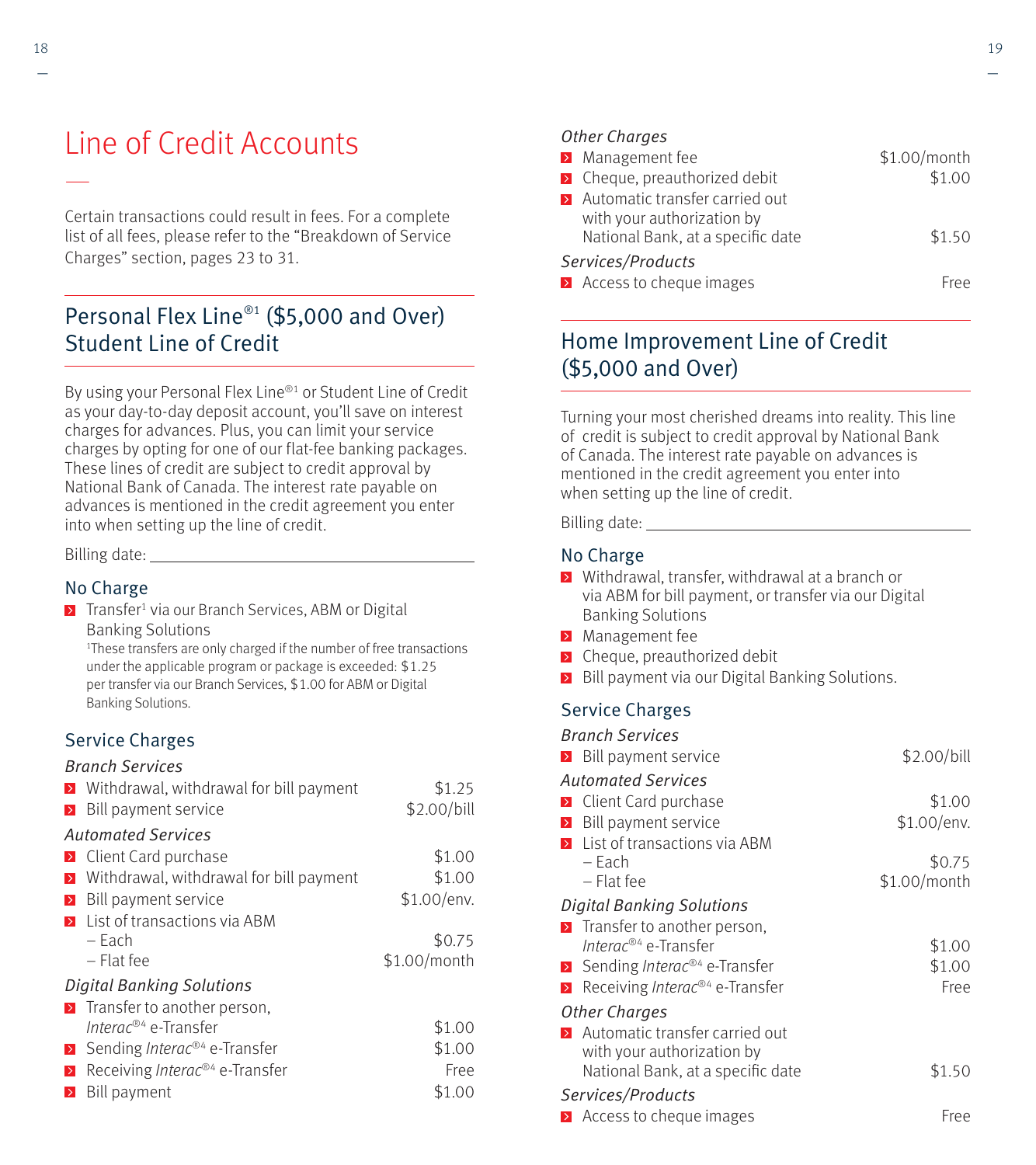# Line of Credit Accounts

Certain transactions could result in fees. For a complete list of all fees, please refer to the "Breakdown of Service Charges" section, pages 23 to 31.

### Personal Flex Line<sup>®1</sup> (\$5,000 and Over) Student Line of Credit

By using your Personal Flex Line<sup>®1</sup> or Student Line of Credit as your day-to-day deposit account, you'll save on interest charges for advances. Plus, you can limit your service charges by opting for one of our flat-fee banking packages. These lines of credit are subject to credit approval by National Bank of Canada. The interest rate payable on advances is mentioned in the credit agreement you enter into when setting up the line of credit.

Billing date:

#### No Charge

Transfer<sup>1</sup> via our Branch Services, ABM or Digital Banking Solutions<br><sup>1</sup>These transfers are only charged if the number of free transactions

under the applicable program or package is exceeded: \$1.25 per transfer via our Branch Services, \$1.00 for ABM or Digital Banking Solutions.

### Service Charges

#### Branch Services

|                  | $\triangleright$ Withdrawal, withdrawal for bill payment | \$1.25       |
|------------------|----------------------------------------------------------|--------------|
| $\geq$           | Bill payment service                                     | \$2.00/bill  |
|                  | <b>Automated Services</b>                                |              |
|                  | <b>E</b> Client Card purchase                            | \$1.00       |
| $\triangleright$ | Withdrawal, withdrawal for bill payment                  | \$1.00       |
| $\triangleright$ | Bill payment service                                     | \$1.00/env.  |
| $\rightarrow$    | List of transactions via ABM                             |              |
|                  | – Each                                                   | \$0.75       |
|                  | $-$ Flat fee                                             | \$1.00/month |
|                  | <b>Digital Banking Solutions</b>                         |              |
|                  | $\blacktriangleright$ Transfer to another person,        |              |
|                  | Interac® <sup>4</sup> e-Transfer                         | \$1.00       |
|                  | Sending <i>Interac</i> <sup>®4</sup> e-Transfer          | \$1.00       |
| $\rightarrow$    | Receiving Interac® <sup>4</sup> e-Transfer               | Free         |
| $\triangleright$ | Bill payment                                             | \$1.00       |

#### Other Charges

| > Management fee                                                                                    | \$1.00/month |
|-----------------------------------------------------------------------------------------------------|--------------|
| <b>E</b> Cheque, preauthorized debit                                                                | \$1.00       |
| > Automatic transfer carried out<br>with your authorization by<br>National Bank, at a specific date | \$1.50       |
| Services/Products                                                                                   |              |
| > Access to cheque images                                                                           | <b>Free</b>  |

### Home Improvement Line of Credit (\$5,000 and Over)

Turning your most cherished dreams into reality. This line of credit is subject to credit approval by National Bank of Canada. The interest rate payable on advances is mentioned in the credit agreement you enter into when setting up the line of credit.

Billing date:

#### No Charge

- **E** Withdrawal, transfer, withdrawal at a branch or via ABM for bill payment, or transfer via our Digital Banking Solutions
- **Management fee**
- **EX** Cheque, preauthorized debit
- Bill payment via our Digital Banking Solutions.

### Service Charges

| <b>Branch Services</b>                                     |              |
|------------------------------------------------------------|--------------|
| <b>E</b> Bill payment service                              | \$2.00/bill  |
| Automated Services                                         |              |
| <b>D</b> Client Card purchase                              | \$1.00       |
| Bill payment service                                       | \$1.00/env.  |
| <b>E</b> List of transactions via ABM                      |              |
| – Each                                                     | \$0.75       |
| $-$ Flat fee                                               | \$1.00/month |
| <b>Digital Banking Solutions</b>                           |              |
| <b>E</b> Transfer to another person,                       |              |
| Interac® <sup>4</sup> e-Transfer                           | \$1.00       |
| Sending <i>Interac®4</i> e-Transfer                        | \$1.00       |
| <b>E</b> Receiving <i>Interac</i> <sup>®4</sup> e-Transfer | Free         |
| Other Charges                                              |              |
| <b>E</b> Automatic transfer carried out                    |              |
| with your authorization by                                 |              |
| National Bank, at a specific date                          | \$1.50       |
| Services/Products                                          |              |
| $\triangleright$ Access to cheque images                   | Free         |
|                                                            |              |

—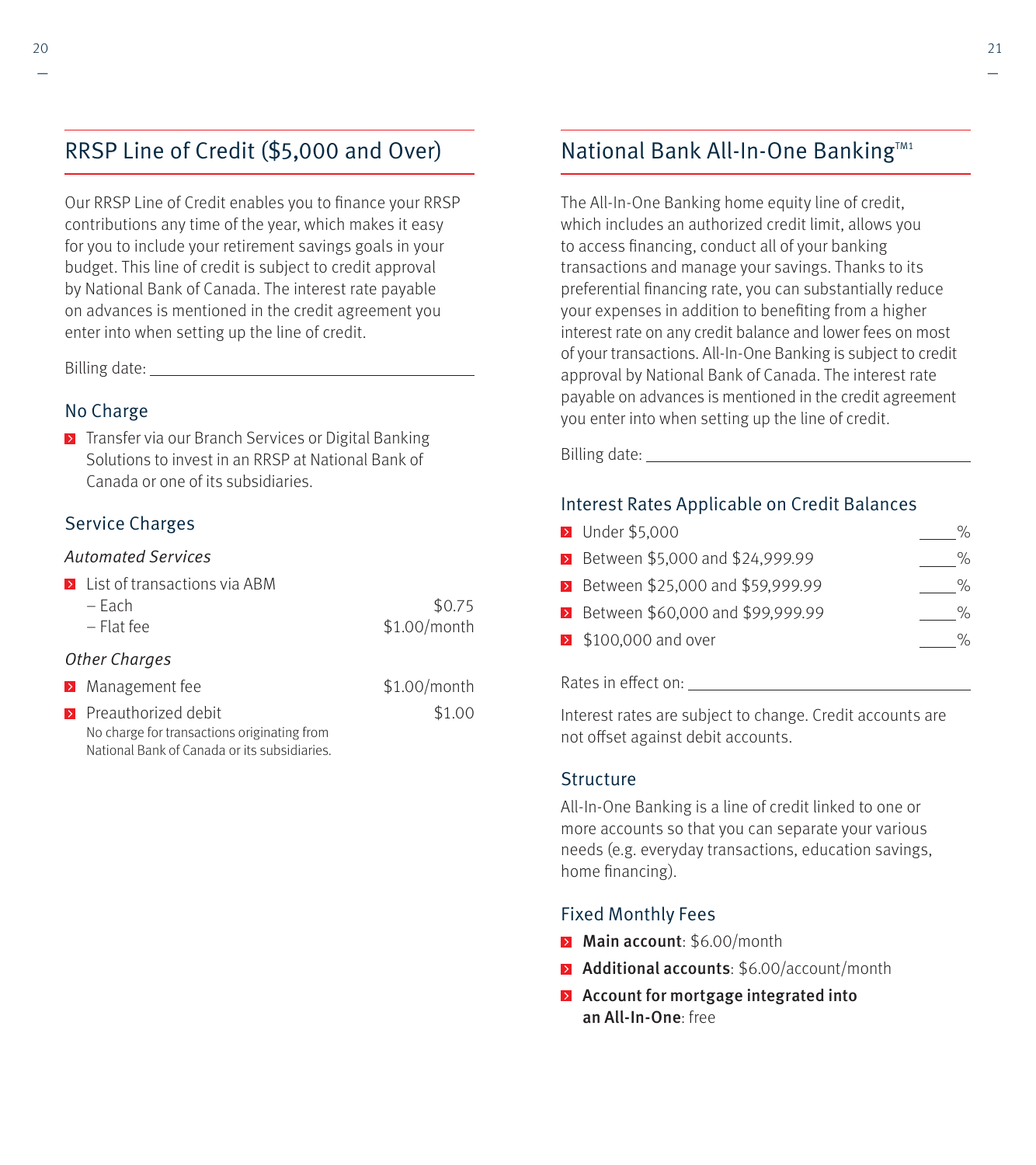### RRSP Line of Credit (\$5,000 and Over)

Our RRSP Line of Credit enables you to finance your RRSP contributions any time of the year, which makes it easy for you to include your retirement savings goals in your budget. This line of credit is subject to credit approval by National Bank of Canada. The interest rate payable on advances is mentioned in the credit agreement you enter into when setting up the line of credit.

Billing date:

### No Charge

**Transfer via our Branch Services or Digital Banking** Solutions to invest in an RRSP at National Bank of Canada or one of its subsidiaries.

### Service Charges

#### Automated Services

|               | <b>Example 1</b> List of transactions via ABM |                |
|---------------|-----------------------------------------------|----------------|
|               | $-$ Each                                      | \$0.75         |
|               | $-$ Flat fee                                  | $$1.00/m$ onth |
| Other Charges |                                               |                |
|               | > Management fee                              | \$1.00/month   |
|               | $\sum$ Preauthorized debit                    | \$1.00         |

No charge for transactions originating from National Bank of Canada or its subsidiaries.

### National Bank All-In-One Banking™1

The All-In-One Banking home equity line of credit, which includes an authorized credit limit, allows you to access financing, conduct all of your banking transactions and manage your savings. Thanks to its preferential financing rate, you can substantially reduce your expenses in addition to benefiting from a higher interest rate on any credit balance and lower fees on most of your transactions. All-In-One Banking is subject to credit approval by National Bank of Canada. The interest rate payable on advances is mentioned in the credit agreement you enter into when setting up the line of credit.

Billing date:

### Interest Rates Applicable on Credit Balances

| <b>D</b> Under \$5,000                   | % |
|------------------------------------------|---|
| <b>E</b> Between \$5,000 and \$24,999.99 | % |
| > Between \$25,000 and \$59,999.99       | % |
| > Between \$60,000 and \$99,999.99       | % |
| $\geq$ \$100,000 and over                | % |
|                                          |   |

#### Rates in eff ect on:

Interest rates are subject to change. Credit accounts are not offset against debit accounts.

#### **Structure**

All-In-One Banking is a line of credit linked to one or more accounts so that you can separate your various needs (e.g. everyday transactions, education savings, home financing).

#### Fixed Monthly Fees

- Main account: \$6.00/month
- **Additional accounts:** \$6.00/account/month
- **Account for mortgage integrated into** an All-In-One: free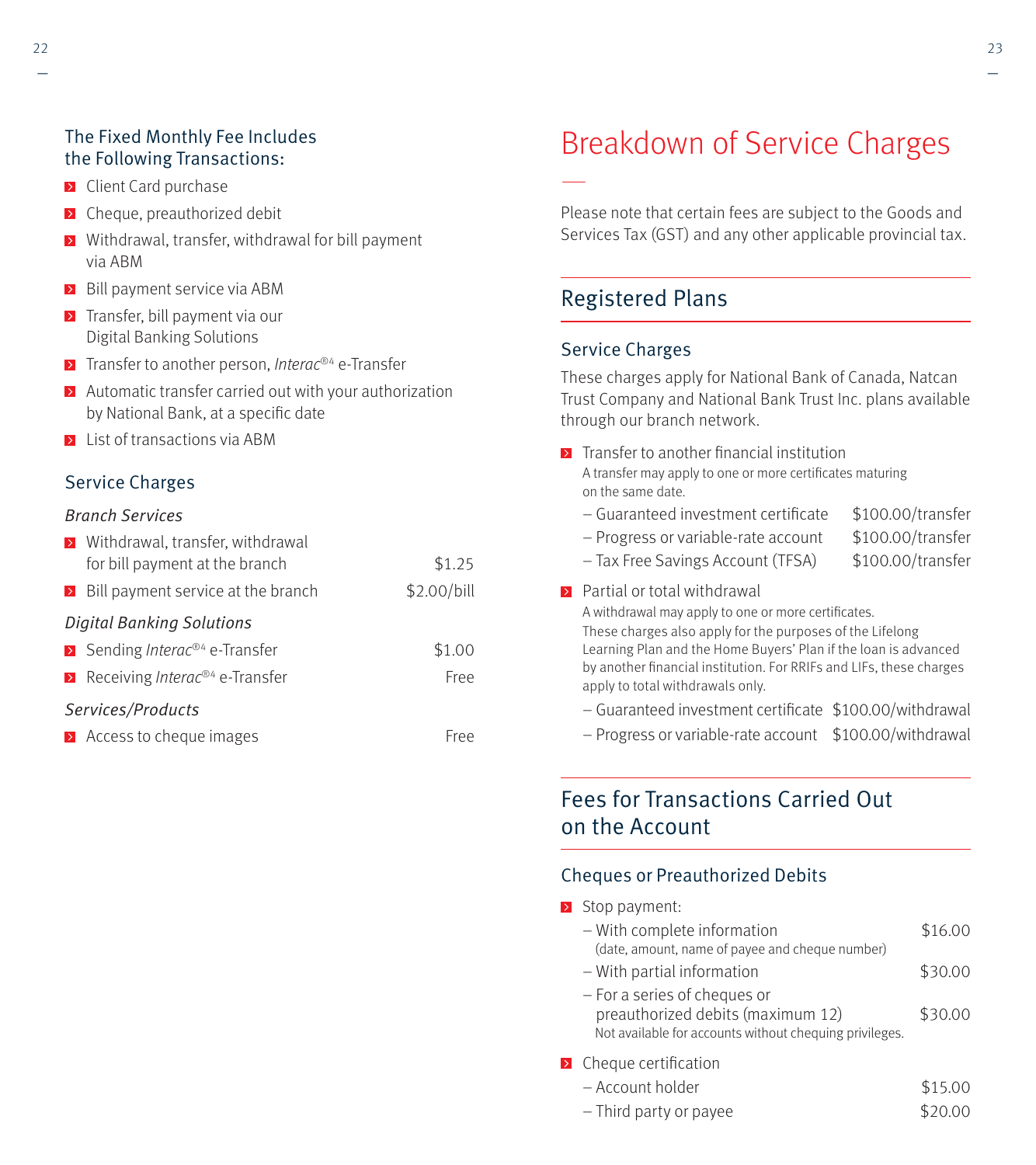### The Fixed Monthly Fee Includes the Following Transactions:

- **E** Client Card purchase
- **E** Cheque, preauthorized debit
- **>** Withdrawal, transfer, withdrawal for bill payment via ABM
- $\triangleright$  Bill payment service via ABM
- $\triangleright$  Transfer, bill payment via our Digital Banking Solutions
- $\triangleright$  Transfer to another person, *Interac®4* e-Transfer
- $\blacktriangleright$  Automatic transfer carried out with your authorization by National Bank, at a specific date
- **E** List of transactions via ABM

### Service Charges

#### Branch Services

|                   | > Withdrawal, transfer, withdrawal                                 |             |  |  |
|-------------------|--------------------------------------------------------------------|-------------|--|--|
|                   | for bill payment at the branch                                     | \$1.25      |  |  |
|                   | $\triangleright$ Bill payment service at the branch                | \$2.00/bill |  |  |
|                   | <b>Digital Banking Solutions</b>                                   |             |  |  |
|                   | $\triangleright$ Sending <i>Interac®</i> <sup>4</sup> e-Transfer   | \$1.00      |  |  |
|                   | $\triangleright$ Receiving <i>Interac</i> <sup>®4</sup> e-Transfer | Free        |  |  |
| Services/Products |                                                                    |             |  |  |
|                   | > Access to cheque images                                          | Free        |  |  |

# Breakdown of Service Charges

Please note that certain fees are subject to the Goods and Services Tax (GST) and any other applicable provincial tax.

### Registered Plans

#### Service Charges

—

These charges apply for National Bank of Canada, Natcan Trust Company and National Bank Trust Inc. plans available through our branch network.

- $\triangleright$  Transfer to another financial institution A transfer may apply to one or more certificates maturing on the same date.
	- $-$  Guaranteed investment certificate  $$100.00/transfer$
	- Progress or variable-rate account \$100.00/transfer
	- Tax Free Savings Account (TFSA) \$100.00/transfer
- -

#### **Partial or total withdrawal**

A withdrawal may apply to one or more certificates.

These charges also apply for the purposes of the Lifelong Learning Plan and the Home Buyers' Plan if the loan is advanced by another financial institution. For RRIFs and LIFs, these charges apply to total withdrawals only.

- $-$  Guaranteed investment certificate  $$100.00$ /withdrawal
- Progress or variable-rate account \$100.00/withdrawal

### Fees for Transactions Carried Out on the Account

### Cheques or Preauthorized Debits

Stop payment:

| - With complete information                                                                                                  | \$16.00 |
|------------------------------------------------------------------------------------------------------------------------------|---------|
| (date, amount, name of payee and cheque number)                                                                              |         |
| - With partial information                                                                                                   | \$30.00 |
| - For a series of cheques or<br>preauthorized debits (maximum 12)<br>Not available for accounts without chequing privileges. | \$30.00 |

 $\triangleright$  Cheque certification

| – Account holder       | \$15.00 |
|------------------------|---------|
| - Third party or payee | \$20.00 |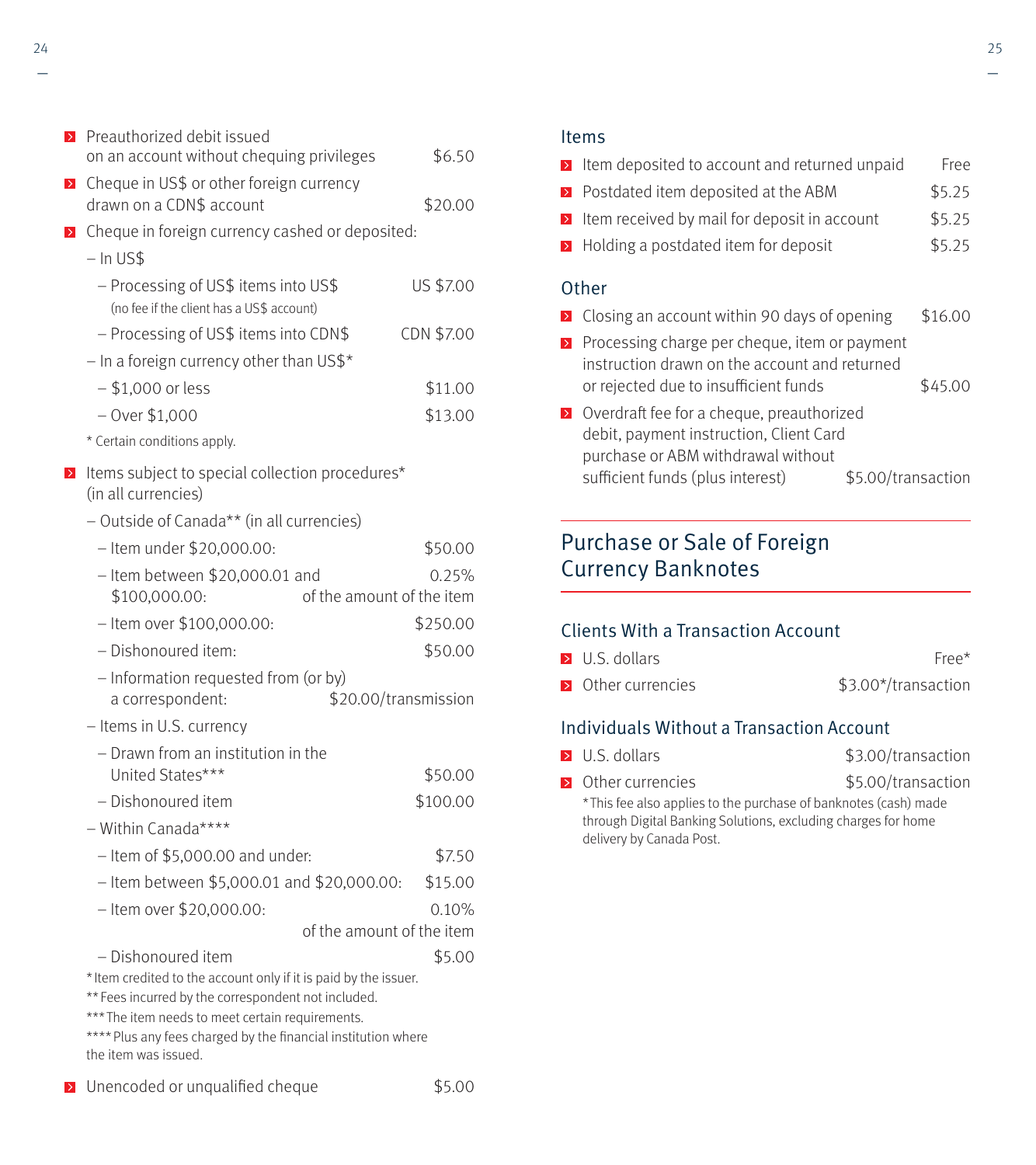|        | ▶ Cheque in US\$ or other foreign currency<br>drawn on a CDN\$ account<br>> Cheque in foreign currency cashed or deposited:<br>$-$ In US\$<br>- Processing of US\$ items into US\$<br>(no fee if the client has a US\$ account)                                      | \$20.00<br>US \$7.00 |
|--------|----------------------------------------------------------------------------------------------------------------------------------------------------------------------------------------------------------------------------------------------------------------------|----------------------|
|        |                                                                                                                                                                                                                                                                      |                      |
|        |                                                                                                                                                                                                                                                                      |                      |
|        |                                                                                                                                                                                                                                                                      |                      |
|        |                                                                                                                                                                                                                                                                      |                      |
|        |                                                                                                                                                                                                                                                                      |                      |
|        | - Processing of US\$ items into CDN\$                                                                                                                                                                                                                                | CDN \$7.00           |
|        | $-$ In a foreign currency other than US\$*                                                                                                                                                                                                                           |                      |
|        | $-$ \$1,000 or less                                                                                                                                                                                                                                                  | \$11.00              |
|        | $-$ Over \$1,000                                                                                                                                                                                                                                                     | \$13.00              |
|        | * Certain conditions apply.                                                                                                                                                                                                                                          |                      |
| $\geq$ | Items subject to special collection procedures*<br>(in all currencies)                                                                                                                                                                                               |                      |
|        | - Outside of Canada** (in all currencies)                                                                                                                                                                                                                            |                      |
|        | - Item under \$20,000.00:                                                                                                                                                                                                                                            | \$50.00              |
|        | $-$ Item between \$20,000.01 and                                                                                                                                                                                                                                     | 0.25%                |
|        | \$100,000.00:<br>of the amount of the item                                                                                                                                                                                                                           |                      |
|        | - Item over \$100,000.00:                                                                                                                                                                                                                                            | \$250.00             |
|        | - Dishonoured item:                                                                                                                                                                                                                                                  | \$50.00              |
|        | - Information requested from (or by)                                                                                                                                                                                                                                 |                      |
|        | \$20.00/transmission<br>a correspondent:                                                                                                                                                                                                                             |                      |
|        | - Items in U.S. currency                                                                                                                                                                                                                                             |                      |
|        | - Drawn from an institution in the                                                                                                                                                                                                                                   |                      |
|        | United States***                                                                                                                                                                                                                                                     | \$50.00              |
|        | - Dishonoured item                                                                                                                                                                                                                                                   | \$100.00             |
|        | - Within Canada****                                                                                                                                                                                                                                                  |                      |
|        | $-$ Item of \$5,000.00 and under:                                                                                                                                                                                                                                    | \$7.50               |
|        | - Item between \$5,000.01 and \$20,000.00:                                                                                                                                                                                                                           | \$15.00              |
|        | - Item over \$20,000.00:                                                                                                                                                                                                                                             | 0.10%                |
|        | of the amount of the item                                                                                                                                                                                                                                            |                      |
|        | – Dishonoured item                                                                                                                                                                                                                                                   | \$5.00               |
|        | * Item credited to the account only if it is paid by the issuer.<br>** Fees incurred by the correspondent not included.<br>*** The item needs to meet certain requirements.<br>**** Plus any fees charged by the financial institution where<br>the item was issued. |                      |

**D** Unencoded or unqualified cheque \$5.00

#### Items

|                  | I Item deposited to account and returned unpaid                                                                                                                  |                    | Free    |
|------------------|------------------------------------------------------------------------------------------------------------------------------------------------------------------|--------------------|---------|
|                  | $\triangleright$ Postdated item deposited at the ABM                                                                                                             |                    | \$5.25  |
| $\triangleright$ | Item received by mail for deposit in account                                                                                                                     |                    | \$5.25  |
|                  | $\triangleright$ Holding a postdated item for deposit                                                                                                            |                    | \$5.25  |
|                  | Other                                                                                                                                                            |                    |         |
|                  | > Closing an account within 90 days of opening                                                                                                                   |                    | \$16.00 |
|                  | $\triangleright$ Processing charge per cheque, item or payment<br>instruction drawn on the account and returned<br>or rejected due to insufficient funds         |                    | \$45.00 |
|                  | > Overdraft fee for a cheque, preauthorized<br>debit, payment instruction, Client Card<br>purchase or ABM withdrawal without<br>sufficient funds (plus interest) | \$5.00/transaction |         |

### Purchase or Sale of Foreign Currency Banknotes

### Clients With a Transaction Account

delivery by Canada Post.

| $\triangleright$ U.S. dollars | Free*               |
|-------------------------------|---------------------|
| • Other currencies            | \$3.00*/transaction |

### Individuals Without a Transaction Account

| $\triangleright$ U.S. dollars | \$3.00/transaction |
|-------------------------------|--------------------|
|-------------------------------|--------------------|

▶ Other currencies \$5.00/transaction \* This fee also applies to the purchase of banknotes (cash) made through Digital Banking Solutions, excluding charges for home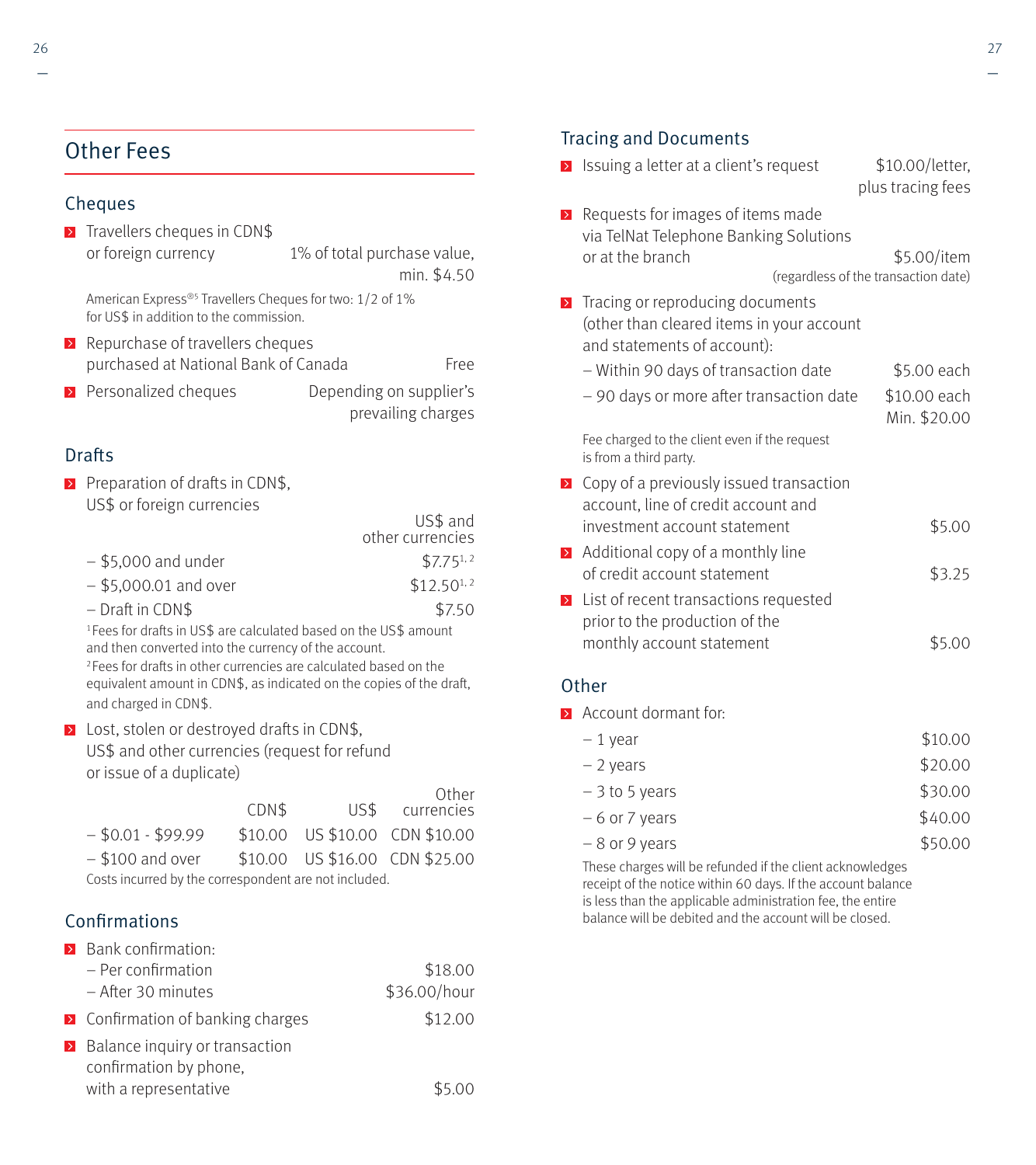### Other Fees

### Cheques

 $\triangleright$  Travellers cheques in CDN\$ or foreign currency 1% of total purchase value, min. \$4.50

American Express®5 Travellers Cheques for two: 1/2 of 1% for US\$ in addition to the commission.

- $\triangleright$  Repurchase of travellers cheques purchased at National Bank of Canada Free
- **Personalized cheques** Depending on supplier's prevailing charges

### **Drafts**

Preparation of drafts in CDN\$, US\$ or foreign currencies<br>US\$ and

|                         | other currencies |
|-------------------------|------------------|
| $-$ \$5.000 and under   | $$7.75^{1,2}$    |
| $-$ \$5,000.01 and over | $$12.50^{1.2}$   |
| $-$ Draft in CDN\$      | \$7.50           |
|                         |                  |

<sup>1</sup> Fees for drafts in US\$ are calculated based on the US\$ amount and then converted into the currency of the account.

<sup>2</sup> Fees for drafts in other currencies are calculated based on the equivalent amount in CDN\$, as indicated on the copies of the draft, and charged in CDN\$.

 $\triangleright$  Lost, stolen or destroyed drafts in CDN\$, US\$ and other currencies (request for refund or issue of a duplicate)

|                                                       | CDN\$ | US\$ | Other<br>currencies            |
|-------------------------------------------------------|-------|------|--------------------------------|
| $-$ \$0.01 - \$99.99                                  |       |      | \$10.00 US \$10.00 CDN \$10.00 |
| $-$ \$100 and over                                    |       |      | \$10.00 US \$16.00 CDN \$25.00 |
| Costs incurred by the correspondent are not included. |       |      |                                |

### Confirmations

| > Bank confirmation:                                 |              |
|------------------------------------------------------|--------------|
| $-$ Per confirmation                                 | \$18.00      |
| - After 30 minutes                                   | \$36.00/hour |
| $\triangleright$ Confirmation of banking charges     | \$12.00      |
| $\blacktriangleright$ Balance inquiry or transaction |              |
| confirmation by phone,                               |              |
| with a representative                                |              |

### Tracing and Documents

| $\rightarrow$ | Issuing a letter at a client's request                                                                       | \$10.00/letter,<br>plus tracing fees                |
|---------------|--------------------------------------------------------------------------------------------------------------|-----------------------------------------------------|
| $\rightarrow$ | Requests for images of items made<br>via TelNat Telephone Banking Solutions<br>or at the branch              | \$5.00/item<br>(regardless of the transaction date) |
| $\,$          | Tracing or reproducing documents<br>(other than cleared items in your account<br>and statements of account): |                                                     |
|               | – Within 90 days of transaction date                                                                         | \$5.00 each                                         |
|               | - 90 days or more after transaction date                                                                     | \$10.00 each<br>Min. \$20.00                        |
|               | Fee charged to the client even if the request<br>is from a third party.                                      |                                                     |
| $\rightarrow$ | Copy of a previously issued transaction<br>account, line of credit account and                               |                                                     |
|               | investment account statement                                                                                 | \$5.00                                              |
| $\rightarrow$ | Additional copy of a monthly line<br>of credit account statement                                             | \$3.25                                              |
| $\rightarrow$ | List of recent transactions requested<br>prior to the production of the                                      |                                                     |
|               | monthly account statement                                                                                    | \$5.00                                              |

#### **Other**

**Account dormant for:** 

| \$10.00 |
|---------|
| \$20.00 |
| \$30.00 |
|         |

- $-6$  or 7 years  $$40.00$
- $-8$  or 9 years  $$50.00$

These charges will be refunded if the client acknowledges receipt of the notice within 60 days. If the account balance is less than the applicable administration fee, the entire balance will be debited and the account will be closed.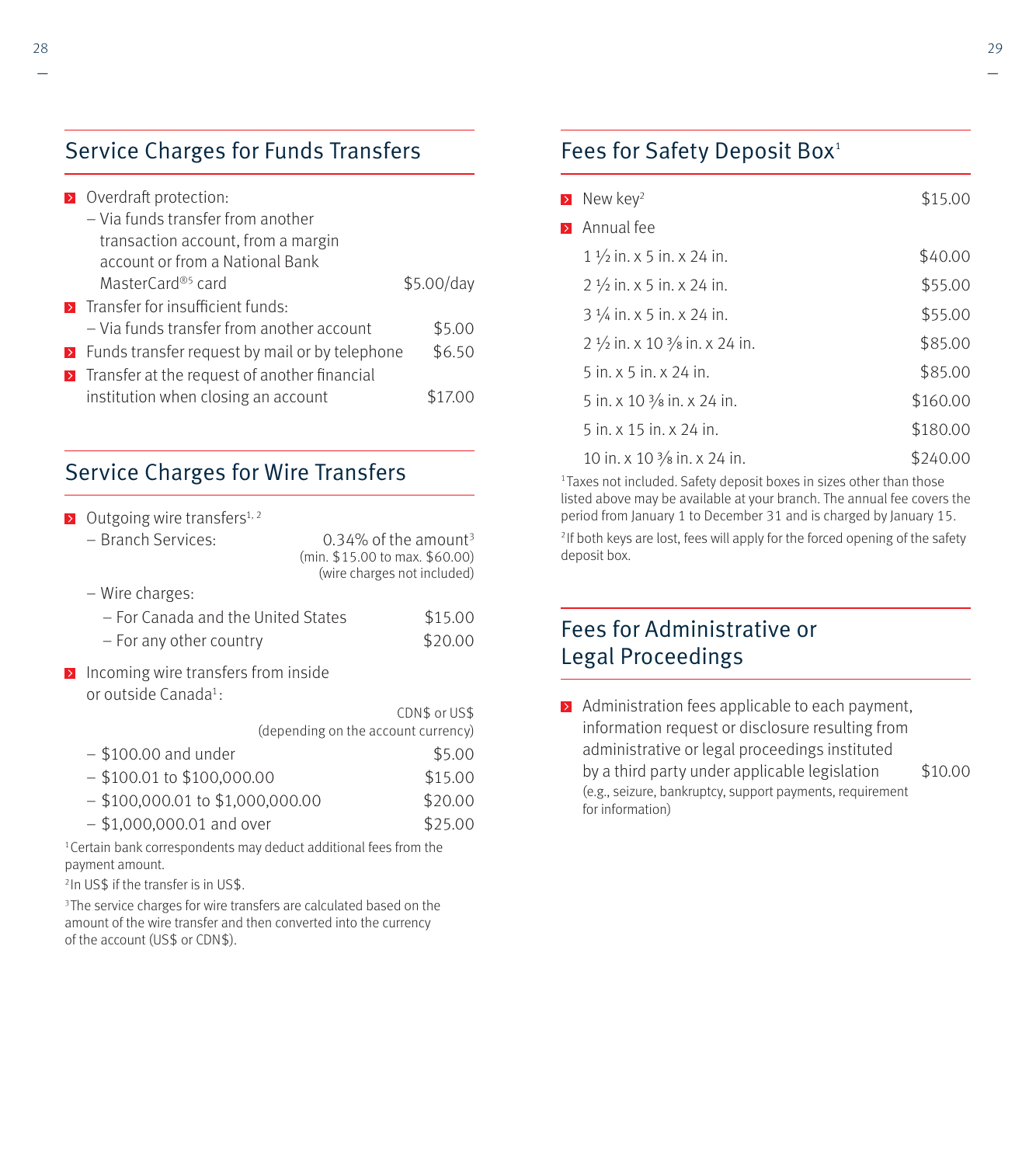| $\triangleright$ Overdraft protection:                          |            |
|-----------------------------------------------------------------|------------|
| - Via funds transfer from another                               |            |
| transaction account, from a margin                              |            |
| account or from a National Bank                                 |            |
| MasterCard® <sup>5</sup> card                                   | \$5.00/day |
| <b>E</b> Transfer for insufficient funds:                       |            |
| - Via funds transfer from another account                       | \$5.00     |
| $\triangleright$ Funds transfer request by mail or by telephone | \$6.50     |
| > Transfer at the request of another financial                  |            |
| institution when closing an account                             |            |

### Service Charges for Wire Transfers

| $\rightarrow$ | Outgoing wire transfers <sup>1, 2</sup>                                 |                                     |                                                                    |
|---------------|-------------------------------------------------------------------------|-------------------------------------|--------------------------------------------------------------------|
|               | - Branch Services:                                                      | (min. \$15.00 to max. \$60.00)      | $0.34\%$ of the amount <sup>3</sup><br>(wire charges not included) |
|               | - Wire charges:                                                         |                                     |                                                                    |
|               | - For Canada and the United States                                      |                                     | \$15.00                                                            |
|               | - For any other country                                                 |                                     | \$20.00                                                            |
| $\rightarrow$ | Incoming wire transfers from inside<br>or outside Canada <sup>1</sup> : |                                     |                                                                    |
|               |                                                                         |                                     | CDN\$ or US\$                                                      |
|               |                                                                         | (depending on the account currency) |                                                                    |
|               | $-$ \$100.00 and under                                                  |                                     | \$5.00                                                             |
|               | $-$ \$100.01 to \$100,000.00                                            |                                     | \$15.00                                                            |
|               | $-$ \$100,000.01 to \$1,000,000.00                                      |                                     | \$20.00                                                            |
|               | $- $1,000,000.01$ and over                                              |                                     | \$25.00                                                            |
|               |                                                                         |                                     |                                                                    |

<sup>1</sup> Certain bank correspondents may deduct additional fees from the payment amount.

2 In US\$ if the transfer is in US\$.

<sup>3</sup>The service charges for wire transfers are calculated based on the amount of the wire transfer and then converted into the currency of the account (US\$ or CDN\$).

### Fees for Safety Deposit Box<sup>1</sup>

| $\geq$           | New key <sup>2</sup>                               | \$15.00  |
|------------------|----------------------------------------------------|----------|
| $\triangleright$ | Annual fee                                         |          |
|                  | $1\frac{1}{2}$ in. x 5 in. x 24 in.                | \$40.00  |
|                  | $2\frac{1}{2}$ in. x 5 in. x 24 in.                | \$55.00  |
|                  | $3\frac{1}{4}$ in. x 5 in. x 24 in.                | \$55.00  |
|                  | $2\frac{1}{2}$ in. x 10 $\frac{3}{8}$ in. x 24 in. | \$85.00  |
|                  | $5$ in. $\times$ 5 in. $\times$ 24 in.             | \$85.00  |
|                  | 5 in. x 10 $\frac{3}{8}$ in. x 24 in.              | \$160.00 |
|                  | 5 in. x 15 in. x 24 in.                            | \$180.00 |
|                  | 10 in. x 10 $\frac{3}{8}$ in. x 24 in.             | \$240.00 |

<sup>1</sup> Taxes not included. Safety deposit boxes in sizes other than those listed above may be available at your branch. The annual fee covers the period from January 1 to December 31 and is charged by January 15.

<sup>2</sup> If both keys are lost, fees will apply for the forced opening of the safety deposit box.

### Fees for Administrative or Legal Proceedings

 $\triangleright$  Administration fees applicable to each payment, information request or disclosure resulting from administrative or legal proceedings instituted by a third party under applicable legislation \$10.00 (e.g., seizure, bankruptcy, support payments, requirement for information)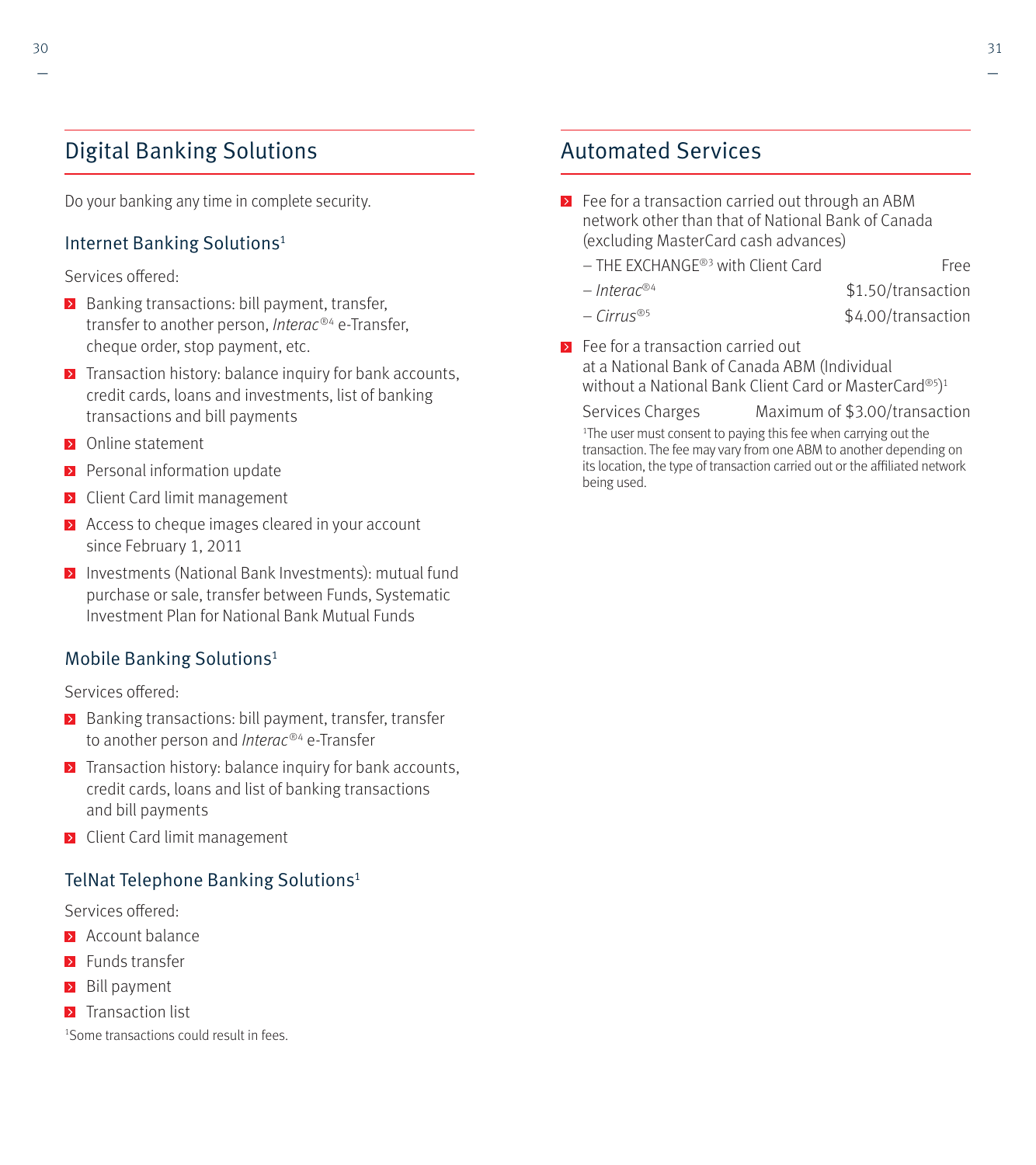### Digital Banking Solutions

Do your banking any time in complete security.

### Internet Banking Solutions<sup>1</sup>

Services offered:

- Banking transactions: bill payment, transfer, transfer to another person, *Interac®4* e-Transfer, cheque order, stop payment, etc.
- $\triangleright$  Transaction history: balance inquiry for bank accounts, credit cards, loans and investments, list of banking transactions and bill payments
- **D** Online statement
- $\triangleright$  Personal information update
- **EX** Client Card limit management
- Access to cheque images cleared in your account since February 1, 2011
- Investments (National Bank Investments): mutual fund purchase or sale, transfer between Funds, Systematic Investment Plan for National Bank Mutual Funds

### Mobile Banking Solutions1

Services offered:

- **Banking transactions: bill payment, transfer, transfer** to another person and *Interac®<sup>4</sup>* e-Transfer
- $\triangleright$  Transaction history: balance inquiry for bank accounts, credit cards, loans and list of banking transactions and bill payments
- **EX** Client Card limit management

### TelNat Telephone Banking Solutions<sup>1</sup>

Services offered:

- **Account balance**
- **EX** Funds transfer
- **Bill payment**
- $\blacktriangleright$  Transaction list

1 Some transactions could result in fees.

### Automated Services

- ▶ Fee for a transaction carried out through an ABM network other than that of National Bank of Canada (excluding MasterCard cash advances)
	- $-$  THE EXCHANGE®3 with Client Card Free
	- $-$  Interac<sup>®4</sup>  $$1.50/transaction$ 
		-
	- $-$  Cirrus<sup>®5</sup>  $\frac{1}{2}$   $\frac{1}{2}$   $\frac{1}{2}$   $\frac{1}{2}$   $\frac{1}{2}$   $\frac{1}{2}$   $\frac{1}{2}$   $\frac{1}{2}$   $\frac{1}{2}$   $\frac{1}{2}$   $\frac{1}{2}$   $\frac{1}{2}$   $\frac{1}{2}$   $\frac{1}{2}$   $\frac{1}{2}$   $\frac{1}{2}$   $\frac{1}{2}$   $\frac{1}{2}$   $\frac{1}{2}$   $\frac{1}{2}$   $\frac{1}{$
- **EX** Fee for a transaction carried out at a National Bank of Canada ABM (Individual without a National Bank Client Card or MasterCard®5) 1

Services Charges Maximum of \$3.00/transaction

<sup>1</sup>The user must consent to paying this fee when carrying out the transaction. The fee may vary from one ABM to another depending on its location, the type of transaction carried out or the affiliated network being used.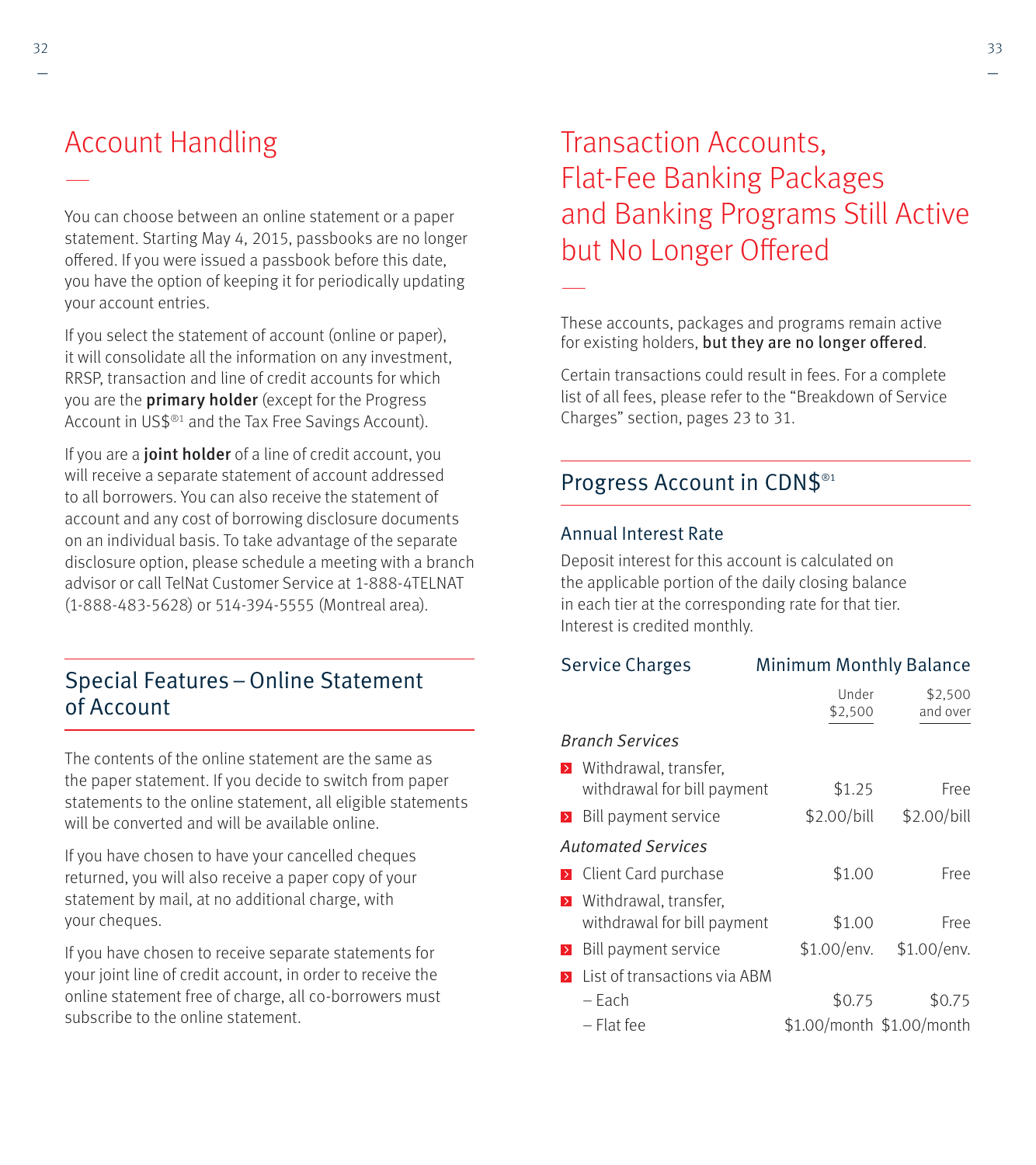# Account Handling

You can choose between an online statement or a paper statement. Starting May 4, 2015, passbooks are no longer offered. If you were issued a passbook before this date, you have the option of keeping it for periodically updating your account entries.

If you select the statement of account (online or paper), it will consolidate all the information on any investment, RRSP, transaction and line of credit accounts for which you are the **primary holder** (except for the Progress Account in US\$®1 and the Tax Free Savings Account).

If you are a **joint holder** of a line of credit account, you will receive a separate statement of account addressed to all borrowers. You can also receive the statement of account and any cost of borrowing disclosure documents on an individual basis. To take advantage of the separate disclosure option, please schedule a meeting with a branch advisor or call TelNat Customer Service at 1-888-4TELNAT (1-888-483-5628) or 514-394-5555 (Montreal area).

### Special Features – Online Statement of Account

The contents of the online statement are the same as the paper statement. If you decide to switch from paper statements to the online statement, all eligible statements will be converted and will be available online.

If you have chosen to have your cancelled cheques returned, you will also receive a paper copy of your statement by mail, at no additional charge, with your cheques.

If you have chosen to receive separate statements for your joint line of credit account, in order to receive the online statement free of charge, all co-borrowers must subscribe to the online statement.

# Transaction Accounts, Flat-Fee Banking Packages and Banking Programs Still Active but No Longer Offered

These accounts, packages and programs remain active for existing holders, but they are no longer offered.

Certain transactions could result in fees. For a complete list of all fees, please refer to the "Breakdown of Service Charges" section, pages 23 to 31.

### Progress Account in CDN\$<sup>®1</sup>

### Annual Interest Rate

—

Deposit interest for this account is calculated on the applicable portion of the daily closing balance in each tier at the corresponding rate for that tier. Interest is credited monthly.

| <b>Service Charges</b> |                                                               | <b>Minimum Monthly Balance</b> |                           |  |  |
|------------------------|---------------------------------------------------------------|--------------------------------|---------------------------|--|--|
|                        |                                                               | Under<br>\$2,500               | \$2,500<br>and over       |  |  |
|                        | <b>Branch Services</b>                                        |                                |                           |  |  |
|                        | <b>E</b> Withdrawal, transfer,<br>withdrawal for bill payment | \$1.25                         | Free                      |  |  |
| $\triangleright$       | Bill payment service                                          | \$2.00/bill                    | \$2.00/bill               |  |  |
|                        | <b>Automated Services</b>                                     |                                |                           |  |  |
|                        | <b>EX</b> Client Card purchase                                | \$1.00                         | Free                      |  |  |
| $\rightarrow$          | Withdrawal, transfer.<br>withdrawal for bill payment          | \$1.00                         | Free                      |  |  |
| $\triangleright$       | Bill payment service                                          | \$1.00/env.                    | \$1.00/env.               |  |  |
| $\rightarrow$          | List of transactions via ABM                                  |                                |                           |  |  |
|                        | – Each                                                        | \$0.75                         | \$0.75                    |  |  |
|                        | – Flat fee                                                    |                                | \$1.00/month \$1.00/month |  |  |

—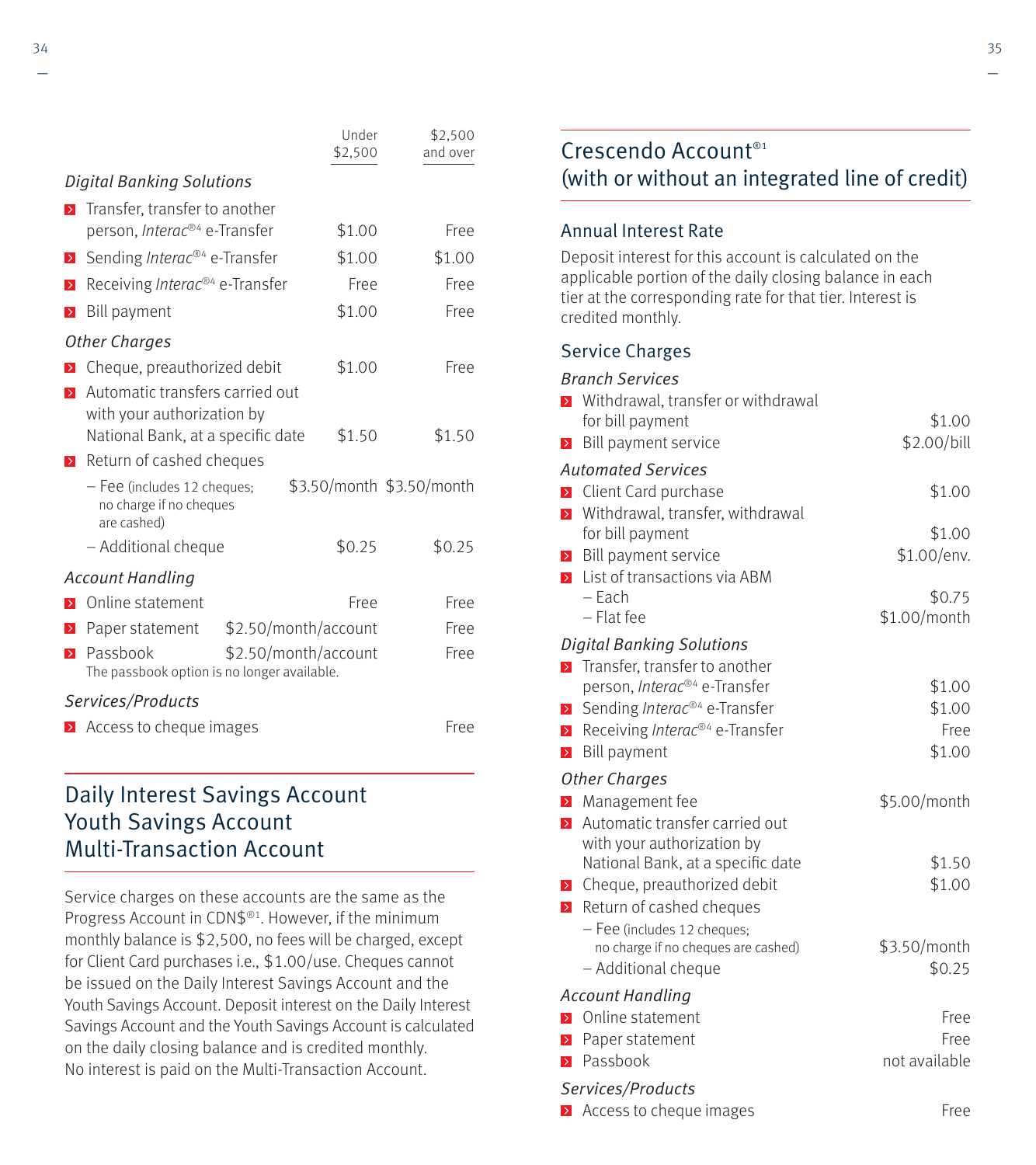|                                                                                                  | Under<br>\$2,500 | \$2,500<br>and over       |
|--------------------------------------------------------------------------------------------------|------------------|---------------------------|
| <b>Digital Banking Solutions</b>                                                                 |                  |                           |
| Transfer, transfer to another<br>$\triangleright$                                                |                  |                           |
| person, Interac® <sup>4</sup> e-Transfer                                                         | \$1.00           | Free                      |
| Sending Interac®4 e-Transfer<br>$\triangleright$                                                 | \$1.00           | \$1.00                    |
| Receiving Interac® <sup>4</sup> e-Transfer<br>$\rightarrow$                                      | Free             | Free                      |
| <b>Bill payment</b><br>$\rightarrow$                                                             | \$1.00           | Free                      |
| <b>Other Charges</b>                                                                             |                  |                           |
| Cheque, preauthorized debit                                                                      | \$1.00           | Free                      |
| Automatic transfers carried out<br>$\triangleright$                                              |                  |                           |
| with your authorization by                                                                       |                  |                           |
| National Bank, at a specific date                                                                | \$1.50           | \$1.50                    |
| Return of cashed cheques<br>$\geq$                                                               |                  |                           |
| - Fee (includes 12 cheques;<br>no charge if no cheques<br>are cashed)                            |                  | \$3.50/month \$3.50/month |
| - Additional cheque                                                                              | \$0.25           | \$0.25                    |
| <b>Account Handling</b>                                                                          |                  |                           |
| Online statement<br>$\rightarrow$                                                                | Free             | Free                      |
| \$2.50/month/account<br>Paper statement<br>$\rightarrow$                                         |                  | Free                      |
| Passbook<br>\$2.50/month/account<br>$\rightarrow$<br>The passbook option is no longer available. |                  | Free                      |
| Services/Products                                                                                |                  |                           |
| Access to cheque images                                                                          |                  | Free                      |

### Daily Interest Savings Account Youth Savings Account Multi-Transaction Account

Service charges on these accounts are the same as the Progress Account in CDN\$®1. However, if the minimum monthly balance is \$2,500, no fees will be charged, except for Client Card purchases i.e., \$1.00/use. Cheques cannot be issued on the Daily Interest Savings Account and the Youth Savings Account. Deposit interest on the Daily Interest Savings Account and the Youth Savings Account is calculated on the daily closing balance and is credited monthly. No interest is paid on the Multi-Transaction Account.

### Crescendo Account<sup>®1</sup> (with or without an integrated line of credit)

### Annual Interest Rate

Deposit interest for this account is calculated on the applicable portion of the daily closing balance in each tier at the corresponding rate for that tier. Interest is credited monthly.

### Service Charges

#### Branch Services

| $\rightarrow$                  | Withdrawal, transfer or withdrawal<br>for bill payment   | \$1.00                 |
|--------------------------------|----------------------------------------------------------|------------------------|
| $\,$                           | Bill payment service                                     | \$2.00/bill            |
|                                |                                                          |                        |
|                                | <b>Automated Services</b>                                | \$1.00                 |
| $\rightarrow$<br>$\rightarrow$ | Client Card purchase<br>Withdrawal, transfer, withdrawal |                        |
|                                | for bill payment                                         | \$1.00                 |
| $\rightarrow$                  | Bill payment service                                     | \$1.00/env.            |
| $\rightarrow$                  | List of transactions via ABM                             |                        |
|                                | $-$ Each                                                 | \$0.75                 |
|                                | - Flat fee                                               | \$1.00/month           |
|                                | <b>Digital Banking Solutions</b>                         |                        |
| $\rightarrow$                  | Transfer, transfer to another                            |                        |
|                                | person, Interac® <sup>4</sup> e-Transfer                 | \$1.00                 |
| $\rightarrow$                  | Sending Interac® <sup>4</sup> e-Transfer                 | \$1.00                 |
| $\rightarrow$                  | Receiving Interac®4 e-Transfer                           | Free                   |
| $\rightarrow$                  | <b>Bill payment</b>                                      | \$1.00                 |
|                                | Other Charges                                            |                        |
| $\rightarrow$                  | Management fee                                           | \$5.00/month           |
| $\rightarrow$                  | Automatic transfer carried out                           |                        |
|                                | with your authorization by                               |                        |
|                                | National Bank, at a specific date                        | \$1.50                 |
|                                | > Cheque, preauthorized debit                            | \$1.00                 |
| $\rightarrow$                  | Return of cashed cheques                                 |                        |
|                                | - Fee (includes 12 cheques;                              |                        |
|                                | no charge if no cheques are cashed)                      | \$3.50/month<br>\$0.25 |
|                                | - Additional cheque                                      |                        |
|                                | <b>Account Handling</b>                                  |                        |
| $\rightarrow$                  | Online statement                                         | Free                   |
| $\rightarrow$                  | Paper statement                                          | Free                   |
| $\rightarrow$                  | Passbook                                                 | not available          |
|                                | Services/Products                                        |                        |
| $\,$                           | Access to cheque images                                  | Free                   |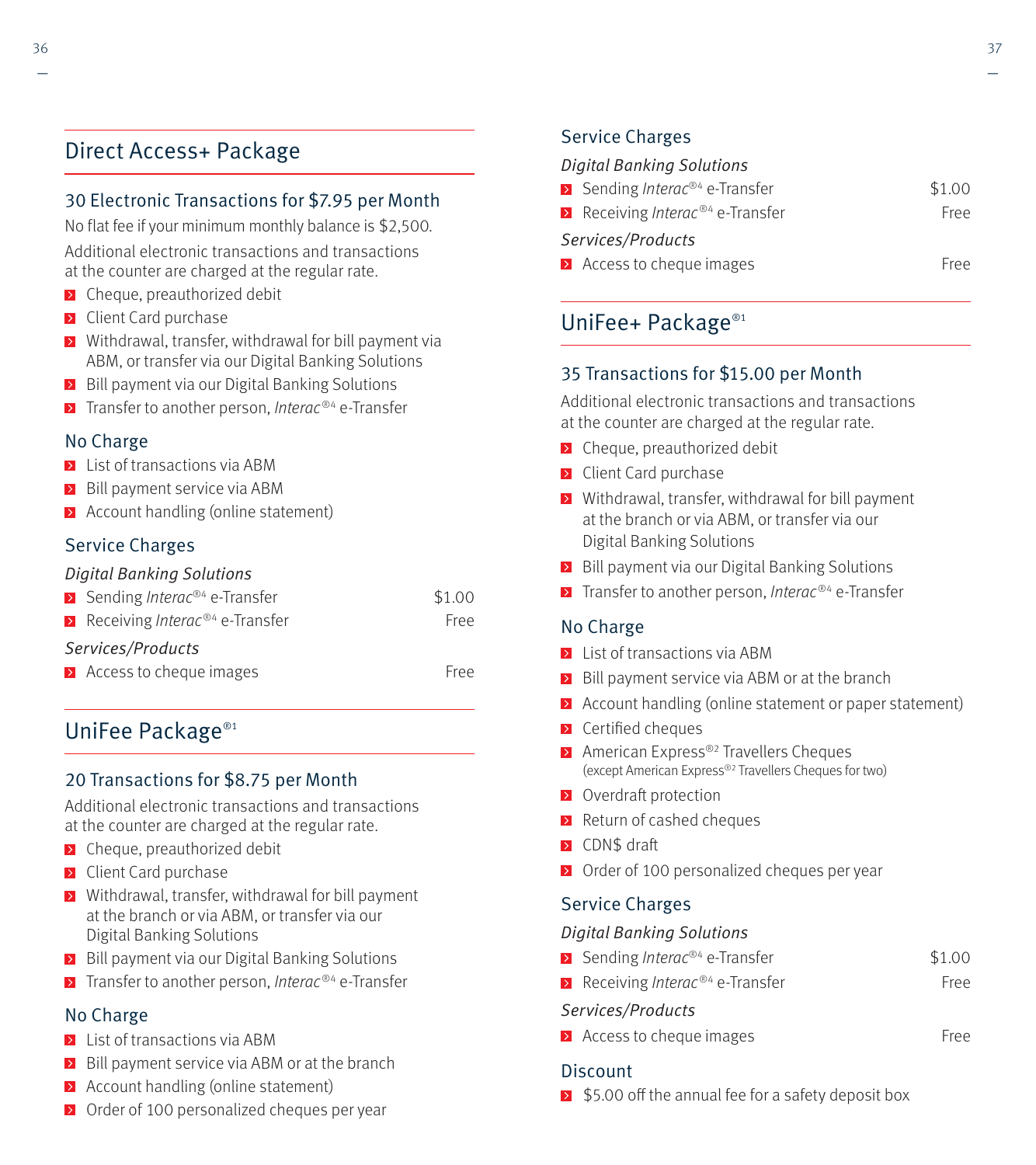### Direct Access+ Package

### 30 Electronic Transactions for \$7.95 per Month

No flat fee if your minimum monthly balance is \$2,500. Additional electronic transactions and transactions at the counter are charged at the regular rate.

- **EX** Cheque, preauthorized debit
- **EX** Client Card purchase
- **EX** Withdrawal, transfer, withdrawal for bill payment via ABM, or transfer via our Digital Banking Solutions
- Bill payment via our Digital Banking Solutions
- $\triangleright$  Transfer to another person, Interac<sup>®4</sup> e-Transfer

### No Charge

- **E** List of transactions via ABM
- $\triangleright$  Bill payment service via ABM
- **Account handling (online statement)**

### Service Charges

### Digital Banking Solutions

|                   | <b>EX</b> Sending <i>Interac</i> <sup>®4</sup> e-Transfer  | \$1.00 |  |
|-------------------|------------------------------------------------------------|--------|--|
|                   | <b>E</b> Receiving <i>Interac</i> <sup>®4</sup> e-Transfer | Free   |  |
| Services/Products |                                                            |        |  |
|                   | $\triangleright$ Access to cheque images                   | Free   |  |

### UniFee Package®1

### 20 Transactions for \$8.75 per Month

Additional electronic transactions and transactions at the counter are charged at the regular rate.

- $\triangleright$  Cheque, preauthorized debit
- **D** Client Card purchase
- **E** Withdrawal, transfer, withdrawal for bill payment at the branch or via ABM, or transfer via our Digital Banking Solutions
- Bill payment via our Digital Banking Solutions
- $\triangleright$  Transfer to another person, Interac<sup>®4</sup> e-Transfer

### No Charge

- **EX** List of transactions via ABM
- $\triangleright$  Bill payment service via ABM or at the branch
- **Account handling (online statement)**
- **D** Order of 100 personalized cheques per year

### Service Charges

#### Digital Banking Solutions

| $\sum$ Sending <i>Interac</i> <sup>®4</sup> e-Transfer | \$1.00 |
|--------------------------------------------------------|--------|
| Receiving <i>Interac</i> <sup>®4</sup> e-Transfer      | Free   |
| Services/Products                                      |        |
| $\blacktriangleright$ Access to cheque images          | Free   |

### UniFee+ Package®1

### 35 Transactions for \$15.00 per Month

Additional electronic transactions and transactions at the counter are charged at the regular rate.

- $\triangleright$  Cheque, preauthorized debit
- **>** Client Card purchase
- **E** Withdrawal, transfer, withdrawal for bill payment at the branch or via ABM, or transfer via our Digital Banking Solutions
- **Bill payment via our Digital Banking Solutions**
- $\triangleright$  Transfer to another person, Interac<sup>®4</sup> e-Transfer

### No Charge

- **E** List of transactions via ABM
- Bill payment service via ABM or at the branch
- $\triangleright$  Account handling (online statement or paper statement)
- $\triangleright$  Certified cheques
- ▶ American Express<sup>®2</sup> Travellers Cheques (except American Express®2 Travellers Cheques for two)
- **D** Overdraft protection
- $\triangleright$  Return of cashed cheques
- **EX** CDN\$ draft
- ▶ Order of 100 personalized cheques per year

### Service Charges

#### Digital Banking Solutions

- Sending *Interac®*<sup>4</sup> e-Transfer \$1.00
- Receiving *Interac*<sup>®4</sup> e-Transfer Free

#### Services/Products

**Access to cheque images** Free

### **Discount**

 $\overline{5}$  \$5.00 off the annual fee for a safety deposit box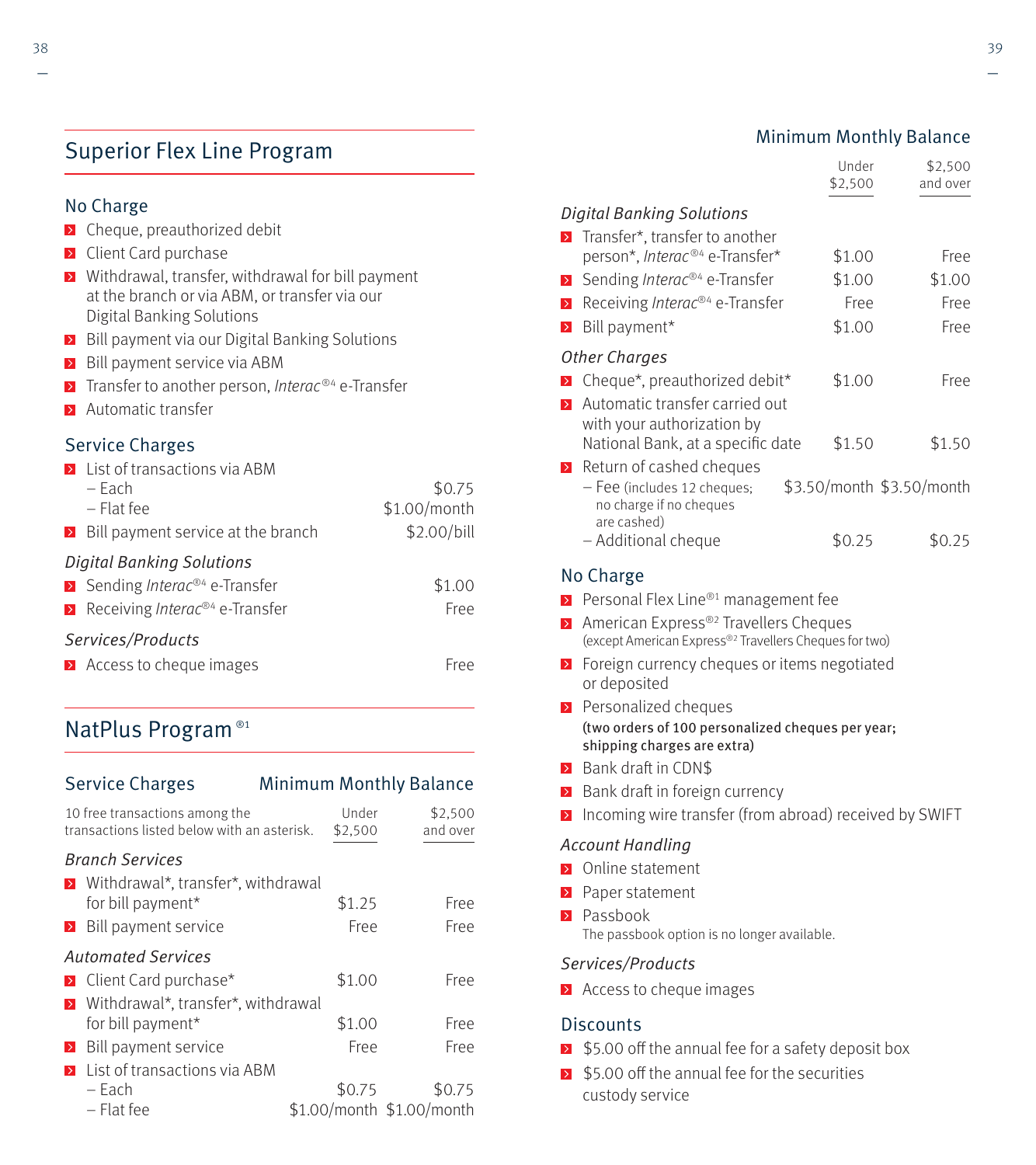### Superior Flex Line Program

### No Charge

- $\triangleright$  Cheque, preauthorized debit
- **EX** Client Card purchase
- **E** Withdrawal, transfer, withdrawal for bill payment at the branch or via ABM, or transfer via our Digital Banking Solutions
- Bill payment via our Digital Banking Solutions
- $\triangleright$  Bill payment service via ABM
- $\triangleright$  Transfer to another person, Interac<sup>®4</sup> e-Transfer
- **Automatic transfer**

### Service Charges

| $\blacktriangleright$ List of transactions via ABM                 |              |  |  |  |
|--------------------------------------------------------------------|--------------|--|--|--|
| – Each                                                             | \$0.75       |  |  |  |
| – Flat fee                                                         | \$1.00/month |  |  |  |
| $\triangleright$ Bill payment service at the branch                | \$2.00/bill  |  |  |  |
| <b>Digital Banking Solutions</b>                                   |              |  |  |  |
| $\triangleright$ Sending <i>Interac®</i> <sup>4</sup> e-Transfer   | \$1.00       |  |  |  |
| $\triangleright$ Receiving <i>Interac</i> <sup>®4</sup> e-Transfer | Free         |  |  |  |
| Services/Products                                                  |              |  |  |  |
| $\triangleright$ Access to cheque images                           | Free         |  |  |  |

### NatPlus Program ®1

| <b>Service Charges</b><br><b>Minimum Monthly Balance</b>                      |  |                  |                                     |
|-------------------------------------------------------------------------------|--|------------------|-------------------------------------|
| 10 free transactions among the<br>transactions listed below with an asterisk. |  | Under<br>\$2,500 | \$2,500<br>and over                 |
| <b>Branch Services</b><br>> Withdrawal*, transfer*, withdrawal                |  |                  |                                     |
| for bill payment*                                                             |  | \$1.25           | Free                                |
| Bill payment service<br>$\geq$                                                |  | Free             | Free                                |
| <b>Automated Services</b>                                                     |  |                  |                                     |
| > Client Card purchase*                                                       |  | \$1.00           | Free                                |
| Withdrawal*, transfer*, withdrawal<br>$\triangleright$                        |  |                  |                                     |
| for bill payment*                                                             |  | \$1.00           | Free                                |
| Bill payment service<br>$\triangleright$                                      |  | Free             | Free                                |
| List of transactions via ABM<br>$\rightarrow$                                 |  |                  |                                     |
| – Each<br>$-$ Flat fee                                                        |  | \$0.75           | \$0.75<br>\$1.00/month \$1.00/month |

|                                                      | Under   | \$2,500  |
|------------------------------------------------------|---------|----------|
|                                                      | \$2,500 | and over |
| <b>Digital Banking Solutions</b>                     |         |          |
| <b>E</b> Transfer <sup>*</sup> , transfer to another |         |          |
| person*, Interac® <sup>4</sup> e-Transfer*           | \$1.00  | Free     |
| $\triangleright$ Sending <i>Interac®4</i> e-Transfer | \$1.00  | \$1.00   |
| Receiving <i>Interac</i> <sup>®4</sup> e-Transfer    | Free    | Free     |
| <b>Bill payment*</b>                                 | \$1.00  | Free     |

#### Other Charges

D

D

|                          | Cheque*, preauthorized debit*                                         | \$1.00 |                           | Free   |
|--------------------------|-----------------------------------------------------------------------|--------|---------------------------|--------|
|                          | Automatic transfer carried out                                        |        |                           |        |
|                          | with your authorization by                                            |        |                           |        |
|                          | National Bank, at a specific date                                     | \$1.50 |                           | \$1.50 |
| $\overline{\phantom{0}}$ | Return of cashed cheques                                              |        |                           |        |
|                          | - Fee (includes 12 cheques;<br>no charge if no cheques<br>are cashed) |        | \$3.50/month \$3.50/month |        |

are cashed) – Additional cheque \$0.25 \$0.25

### No Charge

- Personal Flex Line<sup>®1</sup> management fee
- ▶ American Express<sup>®2</sup> Travellers Cheques (except American Express®2 Travellers Cheques for two)
- **EX** Foreign currency cheques or items negotiated or deposited
- Personalized cheques (two orders of 100 personalized cheques per year; shipping charges are extra)
- **Bank draft in CDNS**
- $\triangleright$  Bank draft in foreign currency
- $\Sigma$  Incoming wire transfer (from abroad) received by SWIFT

#### Account Handling

- **D** Online statement
- **Paper statement**
- **Passbook**

The passbook option is no longer available.

#### Services/Products

 $\blacktriangleright$  Access to cheque images

#### Discounts

- $\ge$  \$5.00 off the annual fee for a safety deposit box
- $\triangleright$  \$5.00 off the annual fee for the securities custody service

### Minimum Monthly Balance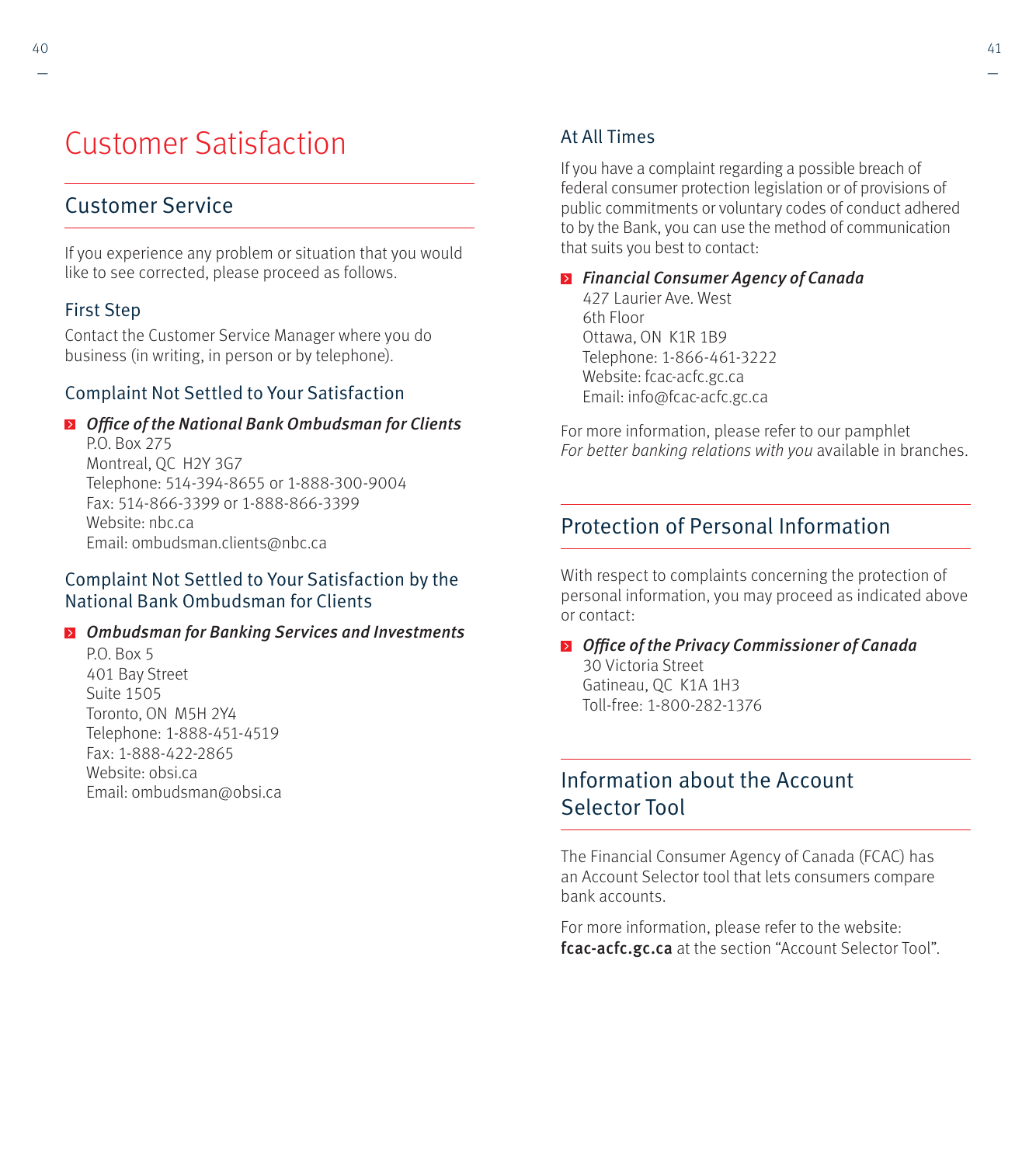# Customer Satisfaction

### Customer Service

If you experience any problem or situation that you would like to see corrected, please proceed as follows.

### First Step

Contact the Customer Service Manager where you do business (in writing, in person or by telephone).

### Complaint Not Settled to Your Satisfaction

### **D** Office of the National Bank Ombudsman for Clients P.O. Box 275 Montreal, QC H2Y 3G7 Telephone: 514-394-8655 or 1-888-300-9004

Fax: 514-866-3399 or 1-888-866-3399 Website: nbc.ca Email: ombudsman.clients@nbc.ca

### Complaint Not Settled to Your Satisfaction by the National Bank Ombudsman for Clients

### **D** Ombudsman for Banking Services and Investments

PO. Box 5 401 Bay Street Suite 1505 Toronto, ON M5H 2Y4 Telephone: 1-888-451-4519 Fax: 1-888-422-2865 Website: obsi.ca Email: ombudsman@obsi.ca

### At All Times

If you have a complaint regarding a possible breach of federal consumer protection legislation or of provisions of public commitments or voluntary codes of conduct adhered to by the Bank, you can use the method of communication that suits you best to contact:

**E** Financial Consumer Agency of Canada 427 Laurier Ave. West 6th Floor

Ottawa, ON K1R 1B9 Telephone: 1-866-461-3222 Website: fcac-acfc.gc.ca Email: info@fcac-acfc.gc.ca

For more information, please refer to our pamphlet For better banking relations with you available in branches.

### Protection of Personal Information

With respect to complaints concerning the protection of personal information, you may proceed as indicated above or contact:

**D** Office of the Privacy Commissioner of Canada 30 Victoria Street Gatineau, QC K1A 1H3 Toll-free: 1-800-282-1376

### Information about the Account Selector Tool

The Financial Consumer Agency of Canada (FCAC) has an Account Selector tool that lets consumers compare bank accounts.

For more information, please refer to the website: fcac-acfc.gc.ca at the section "Account Selector Tool".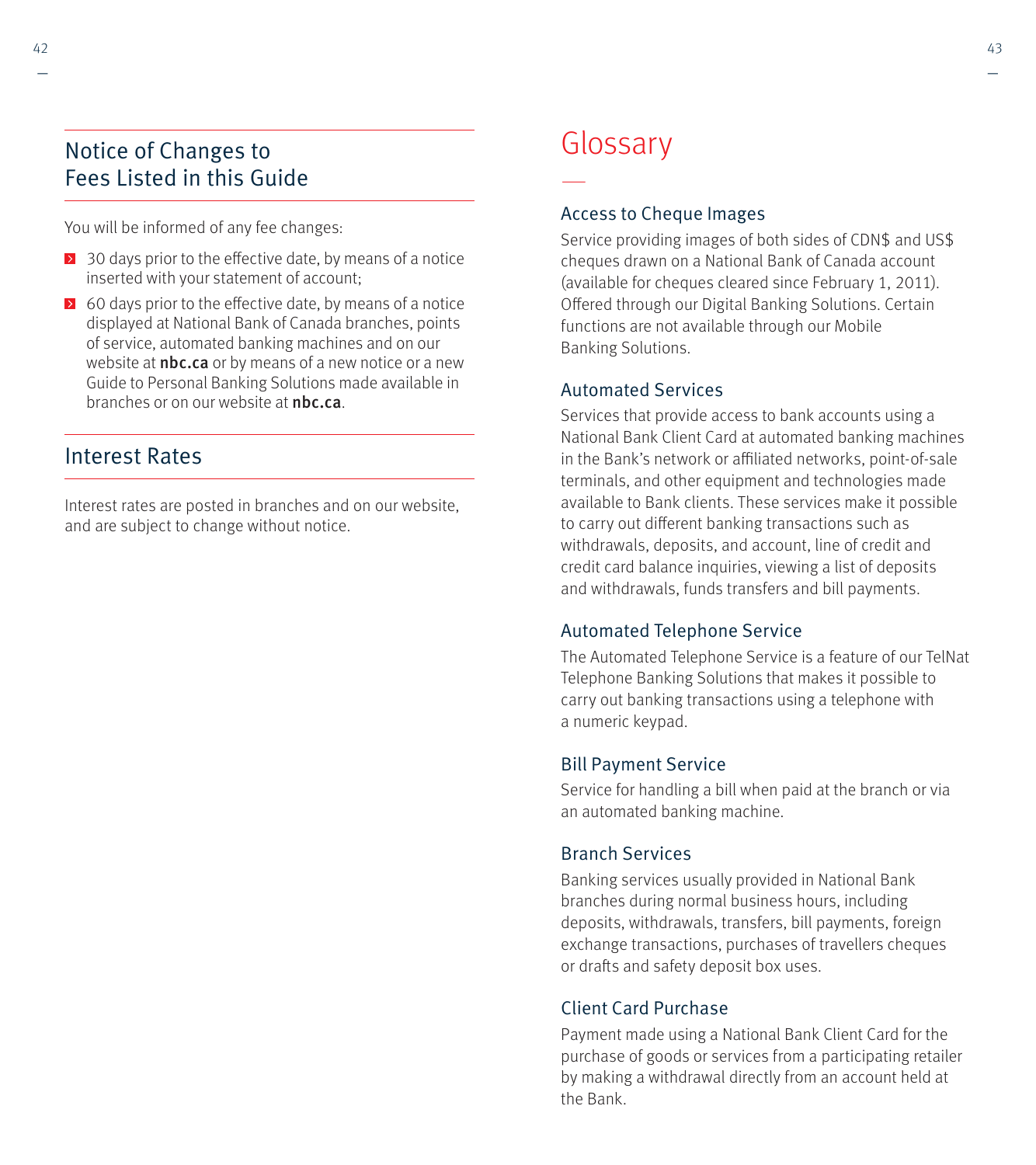### Notice of Changes to Fees Listed in this Guide

You will be informed of any fee changes:

- $\geq$  30 days prior to the effective date, by means of a notice inserted with your statement of account;
- $\geq 60$  days prior to the effective date, by means of a notice displayed at National Bank of Canada branches, points of service, automated banking machines and on our website at **nbc.ca** or by means of a new notice or a new Guide to Personal Banking Solutions made available in branches or on our website at **nbc.ca**.

### Interest Rates

Interest rates are posted in branches and on our website, and are subject to change without notice.

# **Glossary**

—

### Access to Cheque Images

Service providing images of both sides of CDN\$ and US\$ cheques drawn on a National Bank of Canada account (available for cheques cleared since February 1, 2011). Offered through our Digital Banking Solutions. Certain functions are not available through our Mobile Banking Solutions.

### Automated Services

Services that provide access to bank accounts using a National Bank Client Card at automated banking machines in the Bank's network or affiliated networks, point-of-sale terminals, and other equipment and technologies made available to Bank clients. These services make it possible to carry out different banking transactions such as withdrawals, deposits, and account, line of credit and credit card balance inquiries, viewing a list of deposits and withdrawals, funds transfers and bill payments.

### Automated Telephone Service

The Automated Telephone Service is a feature of our TelNat Telephone Banking Solutions that makes it possible to carry out banking transactions using a telephone with a numeric keypad.

### Bill Payment Service

Service for handling a bill when paid at the branch or via an automated banking machine.

### Branch Services

Banking services usually provided in National Bank branches during normal business hours, including deposits, withdrawals, transfers, bill payments, foreign exchange transactions, purchases of travellers cheques or drafts and safety deposit box uses.

### Client Card Purchase

Payment made using a National Bank Client Card for the purchase of goods or services from a participating retailer by making a withdrawal directly from an account held at the Bank.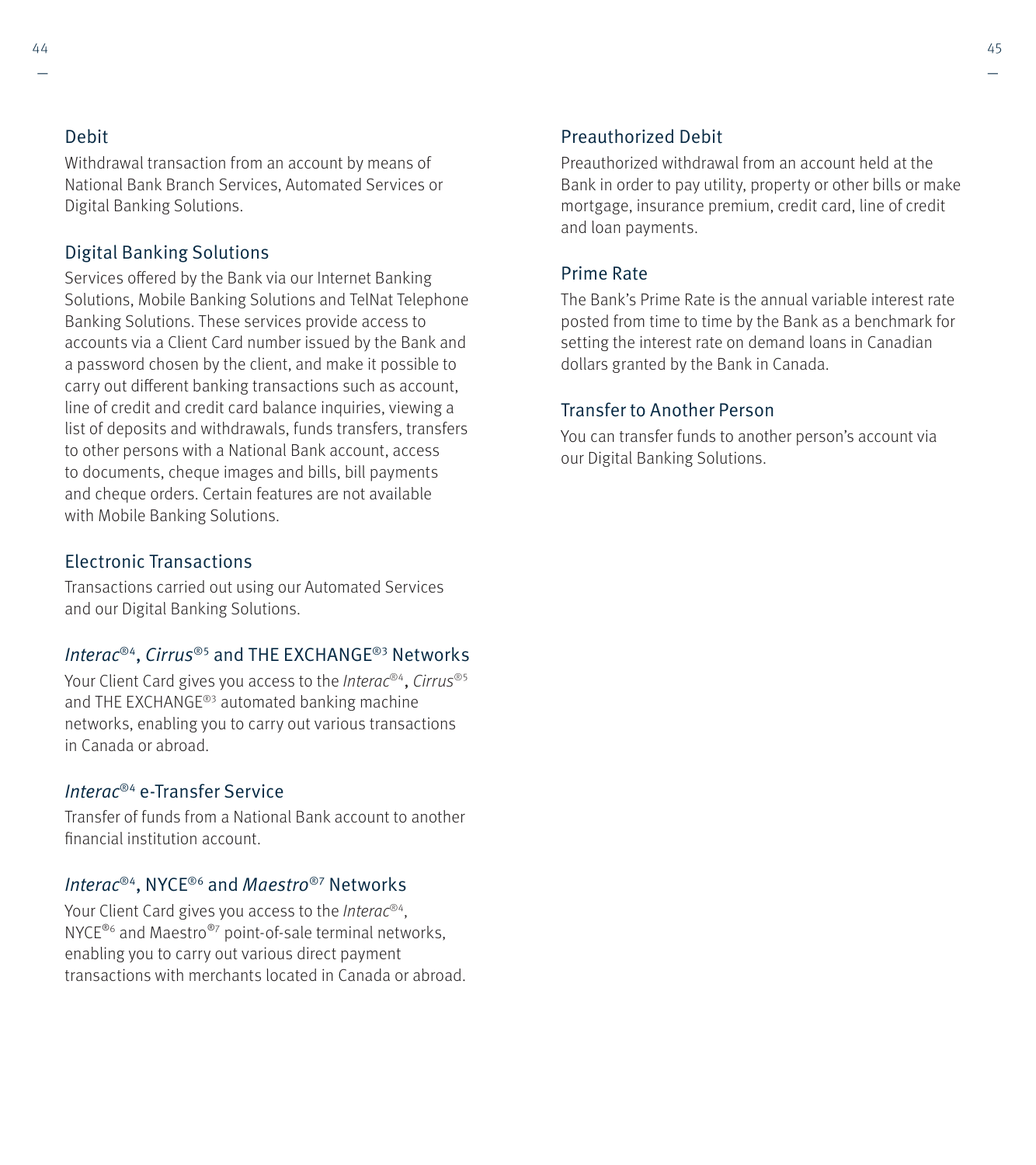#### Debit

Withdrawal transaction from an account by means of National Bank Branch Services, Automated Services or Digital Banking Solutions.

### Digital Banking Solutions

Services offered by the Bank via our Internet Banking Solutions, Mobile Banking Solutions and TelNat Telephone Banking Solutions. These services provide access to accounts via a Client Card number issued by the Bank and a password chosen by the client, and make it possible to carry out different banking transactions such as account, line of credit and credit card balance inquiries, viewing a list of deposits and withdrawals, funds transfers, transfers to other persons with a National Bank account, access to documents, cheque images and bills, bill payments and cheque orders. Certain features are not available with Mobile Banking Solutions.

### Electronic Transactions

Transactions carried out using our Automated Services and our Digital Banking Solutions.

### Interac®4, Cirrus®5 and THE EXCHANGE®3 Networks

Your Client Card gives you access to the Interac<sup>®4</sup>, Cirrus<sup>®5</sup> and THE EXCHANGE®3 automated banking machine networks, enabling you to carry out various transactions in Canada or abroad.

### Interac®4 e-Transfer Service

Transfer of funds from a National Bank account to another financial institution account.

#### Interac<sup>®4</sup>, NYCE<sup>®6</sup> and *Maestro*®7 Networks

Your Client Card gives you access to the *Interac®4*, NYCE<sup>®6</sup> and Maestro<sup>®7</sup> point-of-sale terminal networks, enabling you to carry out various direct payment transactions with merchants located in Canada or abroad.

#### Preauthorized Debit

Preauthorized withdrawal from an account held at the Bank in order to pay utility, property or other bills or make mortgage, insurance premium, credit card, line of credit and loan payments.

### Prime Rate

The Bank's Prime Rate is the annual variable interest rate posted from time to time by the Bank as a benchmark for setting the interest rate on demand loans in Canadian dollars granted by the Bank in Canada.

### Transfer to Another Person

You can transfer funds to another person's account via our Digital Banking Solutions.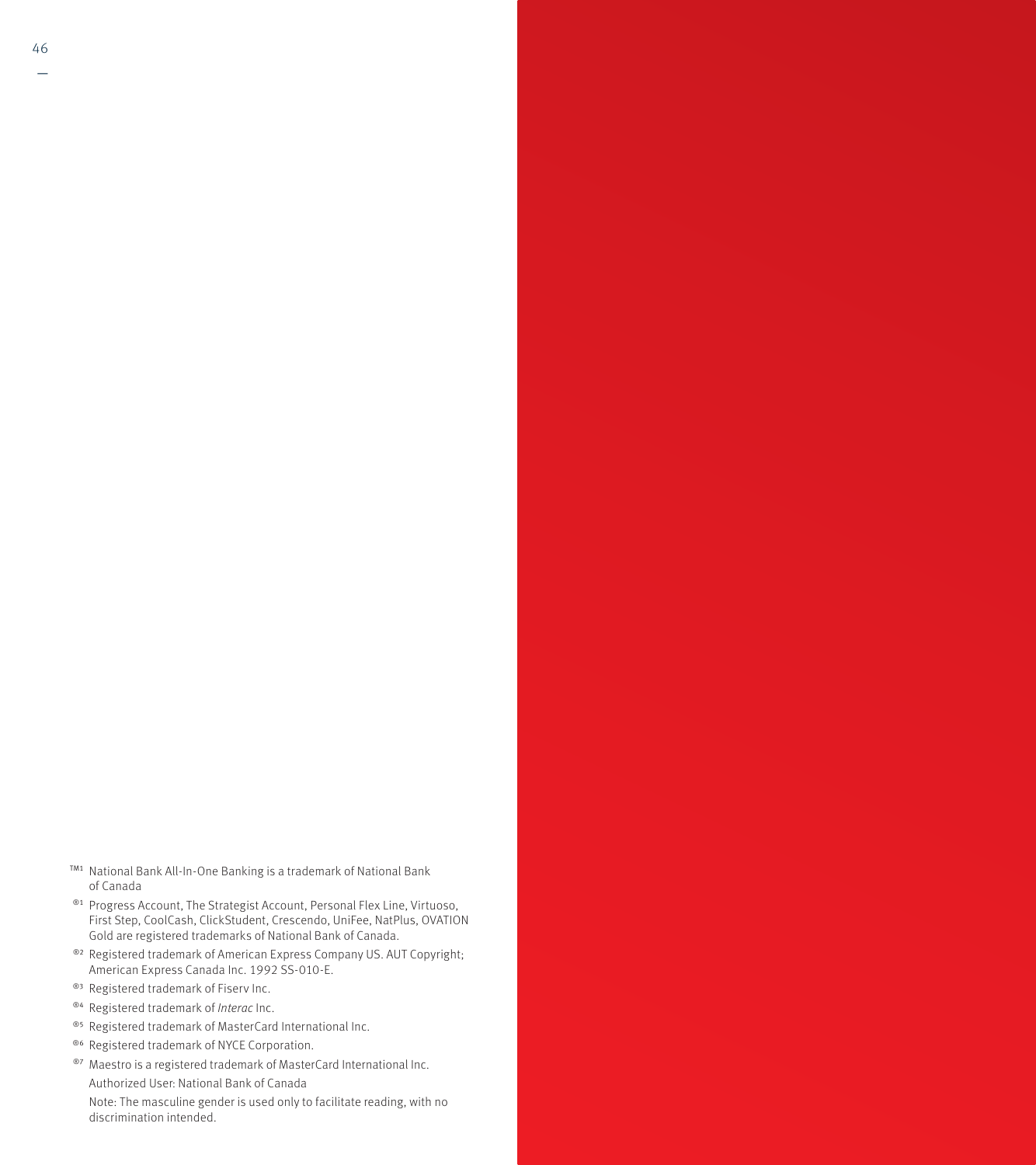- TM1 National Bank All-In-One Banking is a trademark of National Bank of Canada
- ®1 Progress Account, The Strategist Account, Personal Flex Line, Virtuoso, First Step, CoolCash, ClickStudent, Crescendo, UniFee, NatPlus, OVATION Gold are registered trademarks of National Bank of Canada.
- ®<sup>2</sup> Registered trademark of American Express Company US. AUT Copyright; American Express Canada Inc. 1992 SS-010-E.
- ®<sup>3</sup> Registered trademark of Fiserv Inc.
- ®4 Registered trademark of Interac Inc.
- ®5 Registered trademark of MasterCard International Inc.
- ®6 Registered trademark of NYCE Corporation.
- ®7 Maestro is a registered trademark of MasterCard International Inc. Authorized User: National Bank of Canada Note: The masculine gender is used only to facilitate reading, with no discrimination intended.